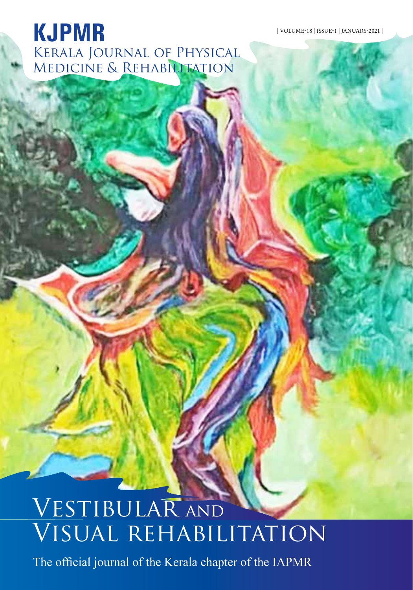| VOLUME-18 | ISSUE-1 | JANUARY-2021 |

### **KJPMR** Kerala Journal of Physical MEDICINE & REHABILITATION

### KERALA JOURNAL OF PHYSICAL MEDICINE AND REHABILITATION VESTIBULAR AND Visual rehabilitation

The official journal of the Kerala chapter of the IAPMR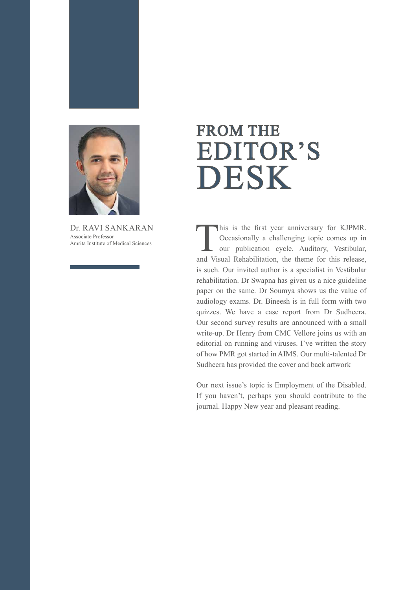

Dr. RAVI SANKARAN Associate Professor Amrita Institute of Medical Sciences

### FROM THE EDITOR'S DESK

This is the first year anniversary for KJPMR.<br>Occasionally a challenging topic comes up in<br>our publication cycle. Auditory, Vestibular,<br>and Visual Rehabilitation the theme for this release Occasionally a challenging topic comes up in our publication cycle. Auditory, Vestibular, and Visual Rehabilitation, the theme for this release, is such. Our invited author is a specialist in Vestibular rehabilitation. Dr Swapna has given us a nice guideline paper on the same. Dr Soumya shows us the value of audiology exams. Dr. Bineesh is in full form with two quizzes. We have a case report from Dr Sudheera. Our second survey results are announced with a small write-up. Dr Henry from CMC Vellore joins us with an editorial on running and viruses. I've written the story of how PMR got started in AIMS. Our multi-talented Dr Sudheera has provided the cover and back artwork

Our next issue's topic is Employment of the Disabled. If you haven't, perhaps you should contribute to the journal. Happy New year and pleasant reading.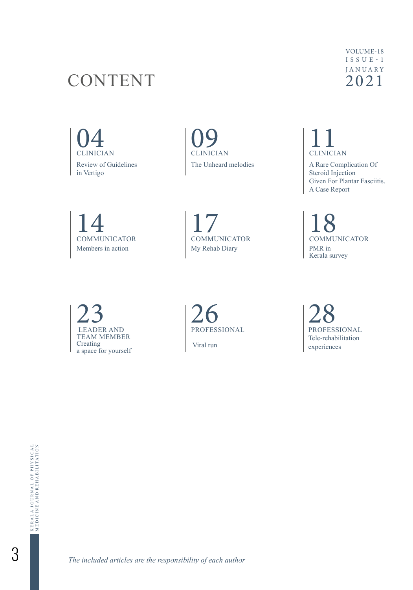### CONTENT

VOLUME-18 ISSUE-1 JANUARY 2021

04 Review of Guidelines in Vertigo

 $\frac{14}{\text{COMMINICATOR}}$   $\frac{17}{\text{COMMINICATOR}}$   $\frac{18}{\text{COMMINICATOR}}$ COMMUNICATOR Members in action

 $\bigcup_{\text{CLINICHN}}$   $\bigcup_{\text{CLINICI}}$ CLINICIAN The Unheard melodies

COMMUNICATOR My Rehab Diary

CLINICIAN

A Rare Complication Of Steroid Injection Given For Plantar Fasciitis. A Case Report

COMMUNICATOR PMR in Kerala survey

23 LEADER AND TEAM MEMBER Creating a space for yourself 26 PROFESSIONAL Viral run

28 PROFESSIONAL Tele-rehabilitation experiences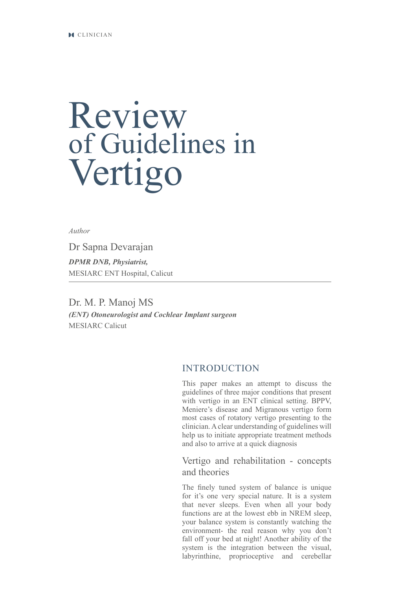# Review of Guidelines in Vertigo

*Author*

Dr Sapna Devarajan

*DPMR DNB, Physiatrist,* MESIARC ENT Hospital, Calicut

Dr. M. P. Manoj MS *(ENT) Otoneurologist and Cochlear Implant surgeon* MESIARC Calicut

### INTRODUCTION

This paper makes an attempt to discuss the guidelines of three major conditions that present with vertigo in an ENT clinical setting. BPPV, Meniere's disease and Migranous vertigo form most cases of rotatory vertigo presenting to the clinician. A clear understanding of guidelines will help us to initiate appropriate treatment methods and also to arrive at a quick diagnosis

### Vertigo and rehabilitation - concepts and theories

The finely tuned system of balance is unique for it's one very special nature. It is a system that never sleeps. Even when all your body functions are at the lowest ebb in NREM sleep, your balance system is constantly watching the environment- the real reason why you don't fall off your bed at night! Another ability of the system is the integration between the visual, labyrinthine, proprioceptive and cerebellar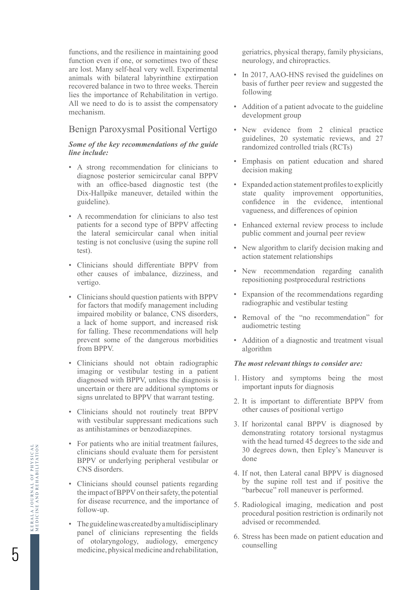functions, and the resilience in maintaining good function even if one, or sometimes two of these are lost. Many self-heal very well. Experimental animals with bilateral labyrinthine extirpation recovered balance in two to three weeks. Therein lies the importance of Rehabilitation in vertigo. All we need to do is to assist the compensatory mechanism.

### Benign Paroxysmal Positional Vertigo

### *Some of the key recommendations of the guide line include:*

- A strong recommendation for clinicians to diagnose posterior semicircular canal BPPV with an office-based diagnostic test (the Dix-Hallpike maneuver, detailed within the guideline).
- A recommendation for clinicians to also test patients for a second type of BPPV affecting the lateral semicircular canal when initial testing is not conclusive (using the supine roll test).
- Clinicians should differentiate BPPV from other causes of imbalance, dizziness, and vertigo.
- Clinicians should question patients with BPPV for factors that modify management including impaired mobility or balance, CNS disorders, a lack of home support, and increased risk for falling. These recommendations will help prevent some of the dangerous morbidities from BPPV.
- Clinicians should not obtain radiographic imaging or vestibular testing in a patient diagnosed with BPPV, unless the diagnosis is uncertain or there are additional symptoms or signs unrelated to BPPV that warrant testing.
- Clinicians should not routinely treat BPPV with vestibular suppressant medications such as antihistamines or benzodiazepines.
- For patients who are initial treatment failures, clinicians should evaluate them for persistent BPPV or underlying peripheral vestibular or CNS disorders.
- Clinicians should counsel patients regarding the impact of BPPV on their safety, the potential for disease recurrence, and the importance of follow-up.
- The guideline was created by a multidisciplinary panel of clinicians representing the fields of otolaryngology, audiology, emergency medicine, physical medicine and rehabilitation,

geriatrics, physical therapy, family physicians, neurology, and chiropractics.

- In 2017, AAO-HNS revised the guidelines on basis of further peer review and suggested the following
- Addition of a patient advocate to the guideline development group
- New evidence from 2 clinical practice guidelines, 20 systematic reviews, and 27 randomized controlled trials (RCTs)
- Emphasis on patient education and shared decision making
- Expanded action statement profiles to explicitly state quality improvement opportunities, confidence in the evidence, intentional vagueness, and differences of opinion
- Enhanced external review process to include public comment and journal peer review
- New algorithm to clarify decision making and action statement relationships
- New recommendation regarding canalith repositioning postprocedural restrictions
- Expansion of the recommendations regarding radiographic and vestibular testing
- Removal of the "no recommendation" for audiometric testing
- Addition of a diagnostic and treatment visual algorithm

### *The most relevant things to consider are:*

- 1. History and symptoms being the most important inputs for diagnosis
- 2. It is important to differentiate BPPV from other causes of positional vertigo
- 3. If horizontal canal BPPV is diagnosed by demonstrating rotatory torsional nystagmus with the head turned 45 degrees to the side and 30 degrees down, then Epley's Maneuver is done
- 4. If not, then Lateral canal BPPV is diagnosed by the supine roll test and if positive the "barbecue" roll maneuver is performed.
- 5. Radiological imaging, medication and post procedural position restriction is ordinarily not advised or recommended.
- 6. Stress has been made on patient education and counselling

KERALA JOURNAL OF PHYSICAL MEDICINE AND REHABILITATION

KERALA JOURNAL OF PHYSICAL<br>MEDICINE AND REHABILITATION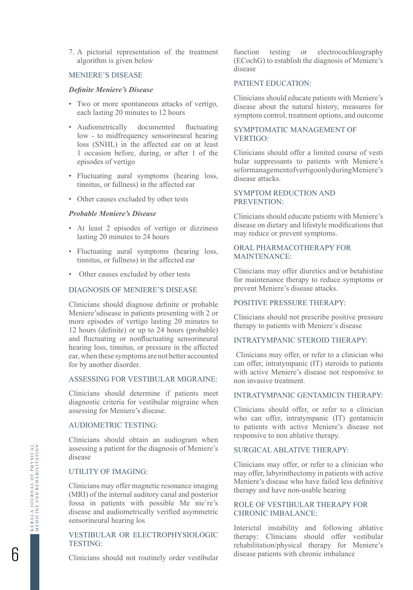7. A pictorial representation of the treatment algorithm is given below

### MENIERE'S DISEASE

### *Definite Meniere's Disease*

- Two or more spontaneous attacks of vertigo, each lasting 20 minutes to 12 hours
- Audiometrically documented fluctuating low - to midfrequency sensorineural hearing loss (SNHL) in the affected ear on at least 1 occasion before, during, or after 1 of the episodes of vertigo
- Fluctuating aural symptoms (hearing loss, tinnitus, or fullness) in the affected ear
- Other causes excluded by other tests

### *Probable Meniere's Disease*

- At least 2 episodes of vertigo or dizziness lasting 20 minutes to 24 hours
- Fluctuating aural symptoms (hearing loss, tinnitus, or fullness) in the affected ear
- Other causes excluded by other tests

### DIAGNOSIS OF MENIERE'S DISEASE

Clinicians should diagnose definite or probable Meniere'sdisease in patients presenting with 2 or more episodes of vertigo lasting 20 minutes to 12 hours (definite) or up to 24 hours (probable) and fluctuating or nonfluctuating sensorineural hearing loss, tinnitus, or pressure in the affected ear, when these symptoms are not better accounted for by another disorder.

### ASSESSING FOR VESTIBULAR MIGRAINE:

Clinicians should determine if patients meet diagnostic criteria for vestibular migraine when assessing for Meniere's disease.

### AUDIOMETRIC TESTING:

Clinicians should obtain an audiogram when assessing a patient for the diagnosis of Meniere's disease

### UTILITY OF IMAGING:

Clinicians may offer magnetic resonance imaging (MRI) of the internal auditory canal and posterior fossa in patients with possible Me ́nie`re's disease and audiometrically verified asymmetric sensorineural hearing los

### VESTIBULAR OR ELECTROPHYSIOLOGIC TESTING:

Clinicians should not routinely order vestibular

function testing or electrocochleography (ECochG) to establish the diagnosis of Meniere's disease

### PATIENT EDUCATION:

Clinicians should educate patients with Meniere's disease about the natural history, measures for symptom control, treatment options, and outcome

### SYMPTOMATIC MANAGEMENT OF VERTIGO:

Clinicians should offer a limited course of vesti bular suppressants to patients with Meniere's seformanagementofvertigoonlyduringMeniere's disease attacks.

### SYMPTOM REDUCTION AND PREVENTION:

Clinicians should educate patients with Meniere's disease on dietary and lifestyle modifications that may reduce or prevent symptoms.

### ORAL PHARMACOTHERAPY FOR MAINTENANCE:

Clinicians may offer diuretics and/or betahistine for maintenance therapy to reduce symptoms or prevent Meniere's disease attacks.

### POSITIVE PRESSURE THERAPY:

Clinicians should not prescribe positive pressure therapy to patients with Meniere's disease

### INTRATYMPANIC STEROID THERAPY:

 Clinicians may offer, or refer to a clinician who can offer, intratympanic (IT) steroids to patients with active Meniere's disease not responsive to non invasive treatment.

### INTRATYMPANIC GENTAMICIN THERAPY:

Clinicians should offer, or refer to a clinician who can offer, intratympanic (IT) gentamicin to patients with active Meniere's disease not responsive to non ablative therapy.

### SURGICAL ABLATIVE THERAPY:

Clinicians may offer, or refer to a clinician who may offer, labyrinthectomy in patients with active Meniere's disease who have failed less definitive therapy and have non-usable hearing

### ROLE OF VESTIBULAR THERAPY FOR CHRONIC IMBALANCE:

Interictal instability and following ablative therapy: Clinicians should offer vestibular rehabilitation/physical therapy for Meniere's disease patients with chronic imbalance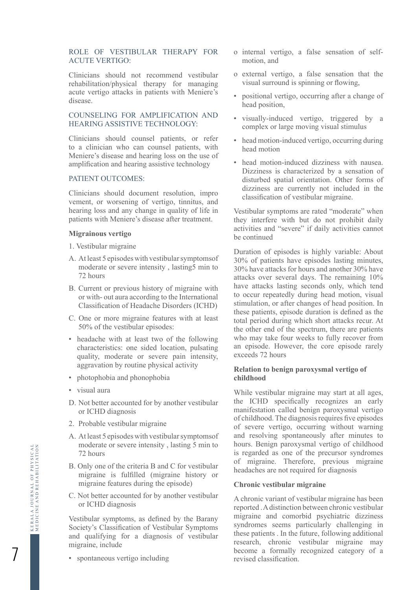### ROLE OF VESTIBULAR THERAPY FOR ACUTE VERTIGO:

Clinicians should not recommend vestibular rehabilitation/physical therapy for managing acute vertigo attacks in patients with Meniere's disease.

### COUNSELING FOR AMPLIFICATION AND HEARING ASSISTIVE TECHNOLOGY:

Clinicians should counsel patients, or refer to a clinician who can counsel patients, with Meniere's disease and hearing loss on the use of amplification and hearing assistive technology

### PATIENT OUTCOMES:

Clinicians should document resolution, impro vement, or worsening of vertigo, tinnitus, and hearing loss and any change in quality of life in patients with Meniere's disease after treatment.

### **Migrainous vertigo**

- 1. Vestibular migraine
- A. At least 5 episodes with vestibular symptomsof moderate or severe intensity , lasting5 min to 72 hours
- B. Current or previous history of migraine with or with- out aura according to the International Classification of Headache Disorders (ICHD)
- C. One or more migraine features with at least 50% of the vestibular episodes:
- headache with at least two of the following characteristics: one sided location, pulsating quality, moderate or severe pain intensity, aggravation by routine physical activity
- photophobia and phonophobia
- visual aura
- D. Not better accounted for by another vestibular or ICHD diagnosis
- 2. Probable vestibular migraine
- A. At least 5 episodes with vestibular symptomsof moderate or severe intensity , lasting 5 min to 72 hours
- B. Only one of the criteria B and C for vestibular migraine is fulfilled (migraine history or migraine features during the episode)
- C. Not better accounted for by another vestibular or ICHD diagnosis

Vestibular symptoms, as defined by the Barany Society's Classification of Vestibular Symptoms and qualifying for a diagnosis of vestibular migraine, include

• spontaneous vertigo including

- o internal vertigo, a false sensation of selfmotion, and
- o external vertigo, a false sensation that the visual surround is spinning or flowing,
- positional vertigo, occurring after a change of head position,
- visually-induced vertigo, triggered by a complex or large moving visual stimulus
- head motion-induced vertigo, occurring during head motion
- head motion-induced dizziness with nausea. Dizziness is characterized by a sensation of disturbed spatial orientation. Other forms of dizziness are currently not included in the classification of vestibular migraine.

Vestibular symptoms are rated "moderate" when they interfere with but do not prohibit daily activities and "severe" if daily activities cannot be continued

Duration of episodes is highly variable: About 30% of patients have episodes lasting minutes, 30% have attacks for hours and another 30% have attacks over several days. The remaining 10% have attacks lasting seconds only, which tend to occur repeatedly during head motion, visual stimulation, or after changes of head position. In these patients, episode duration is defined as the total period during which short attacks recur. At the other end of the spectrum, there are patients who may take four weeks to fully recover from an episode. However, the core episode rarely exceeds 72 hours

### **Relation to benign paroxysmal vertigo of childhood**

While vestibular migraine may start at all ages, the ICHD specifically recognizes an early manifestation called benign paroxysmal vertigo of childhood. The diagnosis requires five episodes of severe vertigo, occurring without warning and resolving spontaneously after minutes to hours. Benign paroxysmal vertigo of childhood is regarded as one of the precursor syndromes of migraine. Therefore, previous migraine headaches are not required for diagnosis

### **Chronic vestibular migraine**

A chronic variant of vestibular migraine has been reported . A distinction between chronic vestibular migraine and comorbid psychiatric dizziness syndromes seems particularly challenging in these patients . In the future, following additional research, chronic vestibular migraine may become a formally recognized category of a revised classification.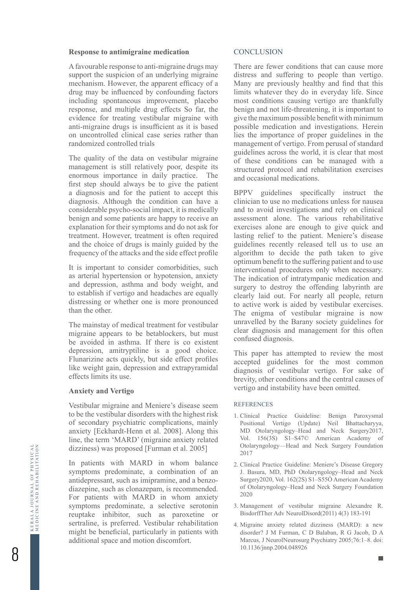### **Response to antimigraine medication**

A favourable response to anti-migraine drugs may support the suspicion of an underlying migraine mechanism. However, the apparent efficacy of a drug may be influenced by confounding factors including spontaneous improvement, placebo response, and multiple drug effects So far, the evidence for treating vestibular migraine with anti-migraine drugs is insufficient as it is based on uncontrolled clinical case series rather than randomized controlled trials

The quality of the data on vestibular migraine management is still relatively poor, despite its enormous importance in daily practice. The first step should always be to give the patient a diagnosis and for the patient to accept this diagnosis. Although the condition can have a considerable psycho-social impact, it is medically benign and some patients are happy to receive an explanation for their symptoms and do not ask for treatment. However, treatment is often required and the choice of drugs is mainly guided by the frequency of the attacks and the side effect profile

It is important to consider comorbidities, such as arterial hypertension or hypotension, anxiety and depression, asthma and body weight, and to establish if vertigo and headaches are equally distressing or whether one is more pronounced than the other.

The mainstay of medical treatment for vestibular migraine appears to be betablockers, but must be avoided in asthma. If there is co existent depression, amitryptiline is a good choice. Flunarizine acts quickly, but side effect profiles like weight gain, depression and extrapyramidal effects limits its use.

### **Anxiety and Vertigo**

Vestibular migraine and Meniere's disease seem to be the vestibular disorders with the highest risk of secondary psychiatric complications, mainly anxiety [Eckhardt-Henn et al. 2008]. Along this line, the term 'MARD' (migraine anxiety related dizziness) was proposed [Furman et al. 2005]

In patients with MARD in whom balance symptoms predominate, a combination of an antidepressant, such as imipramine, and a benzodiazepine, such as clonazepam, is recommended. For patients with MARD in whom anxiety symptoms predominate, a selective serotonin reuptake inhibitor, such as paroxetine or sertraline, is preferred. Vestibular rehabilitation might be beneficial, particularly in patients with additional space and motion discomfort.

### **CONCLUSION**

There are fewer conditions that can cause more distress and suffering to people than vertigo. Many are previously healthy and find that this limits whatever they do in everyday life. Since most conditions causing vertigo are thankfully benign and not life-threatening, it is important to give the maximum possible benefit with minimum possible medication and investigations. Herein lies the importance of proper guidelines in the management of vertigo. From perusal of standard guidelines across the world, it is clear that most of these conditions can be managed with a structured protocol and rehabilitation exercises and occasional medications.

BPPV guidelines specifically instruct the clinician to use no medications unless for nausea and to avoid investigations and rely on clinical assessment alone. The various rehabilitative exercises alone are enough to give quick and lasting relief to the patient. Meniere's disease guidelines recently released tell us to use an algorithm to decide the path taken to give optimum benefit to the suffering patient and to use interventional procedures only when necessary. The indication of intratympanic medication and surgery to destroy the offending labyrinth are clearly laid out. For nearly all people, return to active work is aided by vestibular exercises. The enigma of vestibular migraine is now unravelled by the Barany society guidelines for clear diagnosis and management for this often confused diagnosis.

This paper has attempted to review the most accepted guidelines for the most common diagnosis of vestibular vertigo. For sake of brevity, other conditions and the central causes of vertigo and instability have been omitted.

### **REFERENCES**

- 1. Clinical Practice Guideline: Benign Paroxysmal Positional Vertigo (Update) Neil Bhattacharyya, MD Otolaryngology–Head and Neck Surgery2017, Vol. 156(3S) S1–S47© American Academy of Otolaryngology—Head and Neck Surgery Foundation 2017
- 2. Clinical Practice Guideline: Meniere's Disease Gregory J. Basura, MD, PhD Otolaryngology–Head and Neck Surgery2020, Vol. 162(2S) S1–S55Ó American Academy of Otolaryngology–Head and Neck Surgery Foundation 2020
- 3. Management of vestibular migraine Alexandre R. BisdorffTher Adv NeurolDisord(2011) 4(3) 183-191
- 4. Migraine anxiety related dizziness (MARD): a new disorder? J M Furman, C D Balaban, R G Jacob, D A Marcus, J NeurolNeurosurg Psychiatry 2005;76:1–8. doi: 10.1136/jnnp.2004.048926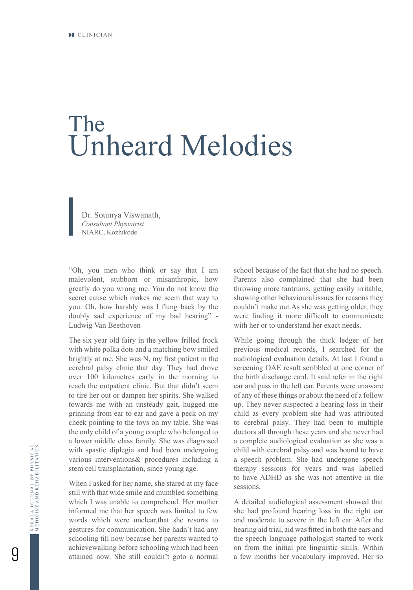### The Unheard Melodies

Dr. Soumya Viswanath, *Consultant Physiatrist* NIARC, Kozhikode.

"Oh, you men who think or say that I am malevolent, stubborn or misanthropic, how greatly do you wrong me. You do not know the secret cause which makes me seem that way to you. Oh, how harshly was I flung back by the doubly sad experience of my bad hearing" - Ludwig Van Beethoven

The six year old fairy in the yellow frilled frock with white polka dots and a matching bow smiled brightly at me. She was N, my first patient in the cerebral palsy clinic that day. They had drove over 100 kilometres early in the morning to reach the outpatient clinic. But that didn't seem to tire her out or dampen her spirits. She walked towards me with an unsteady gait, hugged me grinning from ear to ear and gave a peck on my cheek pointing to the toys on my table. She was the only child of a young couple who belonged to a lower middle class family. She was diagnosed with spastic diplegia and had been undergoing various interventions& procedures including a stem cell transplantation, since young age.

When I asked for her name, she stared at my face still with that wide smile and mumbled something which I was unable to comprehend. Her mother informed me that her speech was limited to few words which were unclear,that she resorts to gestures for communication. She hadn't had any schooling till now because her parents wanted to achievewalking before schooling which had been attained now. She still couldn't goto a normal school because of the fact that she had no speech. Parents also complained that she had been throwing more tantrums, getting easily irritable, showing other behavioural issues for reasons they couldn't make out.As she was getting older, they were finding it more difficult to communicate with her or to understand her exact needs.

While going through the thick ledger of her previous medical records, I searched for the audiological evaluation details. At last I found a screening OAE result scribbled at one corner of the birth discharge card. It said refer in the right ear and pass in the left ear. Parents were unaware of any of these things or about the need of a follow up. They never suspected a hearing loss in their child as every problem she had was attributed to cerebral palsy. They had been to multiple doctors all through these years and she never had a complete audiological evaluation as she was a child with cerebral palsy and was bound to have a speech problem. She had undergone speech therapy sessions for years and was labelled to have ADHD as she was not attentive in the sessions.

A detailed audiological assessment showed that she had profound hearing loss in the right ear and moderate to severe in the left ear. After the hearing aid trial, aid was fitted in both the ears and the speech language pathologist started to work on from the initial pre linguistic skills. Within a few months her vocabulary improved. Her so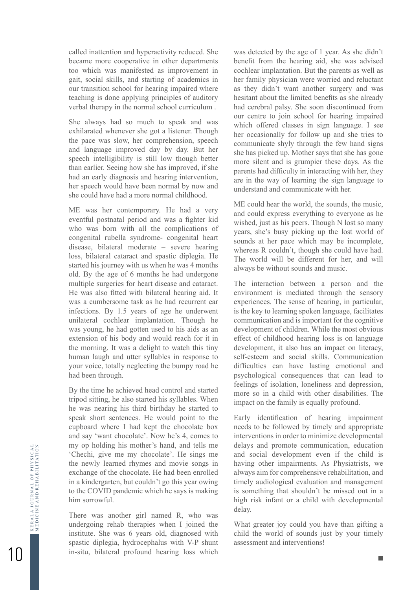called inattention and hyperactivity reduced. She became more cooperative in other departments too which was manifested as improvement in gait, social skills, and starting of academics in our transition school for hearing impaired where teaching is done applying principles of auditory verbal therapy in the normal school curriculum .

She always had so much to speak and was exhilarated whenever she got a listener. Though the pace was slow, her comprehension, speech and language improved day by day. But her speech intelligibility is still low though better than earlier. Seeing how she has improved, if she had an early diagnosis and hearing intervention, her speech would have been normal by now and she could have had a more normal childhood.

ME was her contemporary. He had a very eventful postnatal period and was a fighter kid who was born with all the complications of congenital rubella syndrome- congenital heart disease, bilateral moderate – severe hearing loss, bilateral cataract and spastic diplegia. He started his journey with us when he was 4 months old. By the age of 6 months he had undergone multiple surgeries for heart disease and cataract. He was also fitted with bilateral hearing aid. It was a cumbersome task as he had recurrent ear infections. By 1.5 years of age he underwent unilateral cochlear implantation. Though he was young, he had gotten used to his aids as an extension of his body and would reach for it in the morning. It was a delight to watch this tiny human laugh and utter syllables in response to your voice, totally neglecting the bumpy road he had been through.

By the time he achieved head control and started tripod sitting, he also started his syllables. When he was nearing his third birthday he started to speak short sentences. He would point to the cupboard where I had kept the chocolate box and say 'want chocolate'. Now he's 4, comes to my op holding his mother's hand, and tells me 'Chechi, give me my chocolate'. He sings me the newly learned rhymes and movie songs in exchange of the chocolate. He had been enrolled in a kindergarten, but couldn't go this year owing to the COVID pandemic which he says is making him sorrowful.

There was another girl named R, who was undergoing rehab therapies when I joined the institute. She was 6 years old, diagnosed with spastic diplegia, hydrocephalus with V-P shunt in-situ, bilateral profound hearing loss which was detected by the age of 1 year. As she didn't benefit from the hearing aid, she was advised cochlear implantation. But the parents as well as her family physician were worried and reluctant as they didn't want another surgery and was hesitant about the limited benefits as she already had cerebral palsy. She soon discontinued from our centre to join school for hearing impaired which offered classes in sign language. I see her occasionally for follow up and she tries to communicate shyly through the few hand signs she has picked up. Mother says that she has gone more silent and is grumpier these days. As the parents had difficulty in interacting with her, they are in the way of learning the sign language to understand and communicate with her.

ME could hear the world, the sounds, the music, and could express everything to everyone as he wished, just as his peers. Though N lost so many years, she's busy picking up the lost world of sounds at her pace which may be incomplete, whereas R couldn't, though she could have had. The world will be different for her, and will always be without sounds and music.

The interaction between a person and the environment is mediated through the sensory experiences. The sense of hearing, in particular, is the key to learning spoken language, facilitates communication and is important for the cognitive development of children. While the most obvious effect of childhood hearing loss is on language development, it also has an impact on literacy, self-esteem and social skills. Communication difficulties can have lasting emotional and psychological consequences that can lead to feelings of isolation, loneliness and depression, more so in a child with other disabilities. The impact on the family is equally profound.

Early identification of hearing impairment needs to be followed by timely and appropriate interventions in order to minimize developmental delays and promote communication, education and social development even if the child is having other impairments. As Physiatrists, we always aim for comprehensive rehabilitation, and timely audiological evaluation and management is something that shouldn't be missed out in a high risk infant or a child with developmental delay.

What greater joy could you have than gifting a child the world of sounds just by your timely assessment and interventions!

 $1<sub>0</sub>$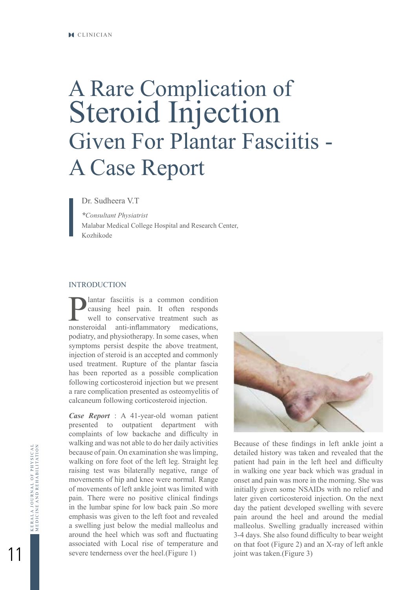### A Rare Complication of Steroid Injection Given For Plantar Fasciitis - A Case Report

Dr. Sudheera V.T

*\*Consultant Physiatrist* Malabar Medical College Hospital and Research Center, Kozhikode

### INTRODUCTION

**Plantar fasciitis is a common condition**<br>causing heel pain. It often responds<br>well to conservative treatment such as<br>nonsteroidal anti-inflammatory medications causing heel pain. It often responds well to conservative treatment such as nonsteroidal anti-inflammatory medications, podiatry, and physiotherapy. In some cases, when symptoms persist despite the above treatment, injection of steroid is an accepted and commonly used treatment. Rupture of the plantar fascia has been reported as a possible complication following corticosteroid injection but we present a rare complication presented as osteomyelitis of calcaneum following corticosteroid injection.

*Case Report* : A 41-year-old woman patient presented to outpatient department with complaints of low backache and difficulty in walking and was not able to do her daily activities because of pain. On examination she was limping, walking on fore foot of the left leg. Straight leg raising test was bilaterally negative, range of movements of hip and knee were normal. Range of movements of left ankle joint was limited with pain. There were no positive clinical findings in the lumbar spine for low back pain .So more emphasis was given to the left foot and revealed a swelling just below the medial malleolus and around the heel which was soft and fluctuating associated with Local rise of temperature and severe tenderness over the heel.(Figure 1)



Because of these findings in left ankle joint a detailed history was taken and revealed that the patient had pain in the left heel and difficulty in walking one year back which was gradual in onset and pain was more in the morning. She was initially given some NSAIDs with no relief and later given corticosteroid injection. On the next day the patient developed swelling with severe pain around the heel and around the medial malleolus. Swelling gradually increased within 3-4 days. She also found difficulty to bear weight on that foot (Figure 2) and an X-ray of left ankle joint was taken.(Figure 3)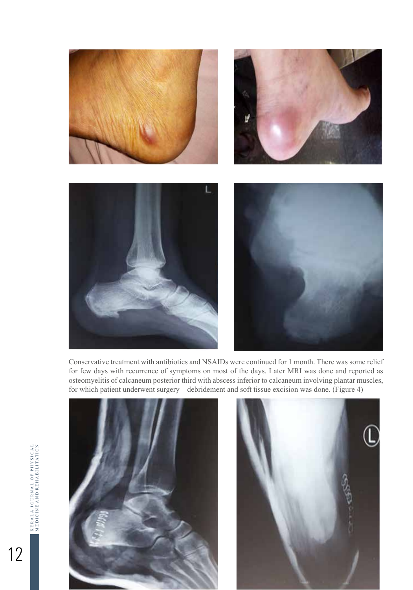

Conservative treatment with antibiotics and NSAIDs were continued for 1 month. There was some relief for few days with recurrence of symptoms on most of the days. Later MRI was done and reported as osteomyelitis of calcaneum posterior third with abscess inferior to calcaneum involving plantar muscles, for which patient underwent surgery – debridement and soft tissue excision was done. (Figure 4)





KERALA JOURNAL OF PHYSICAL<br>MEDICINE AND REHABILITATION KERALA JOURNAL OF PHYSICAL MEDICINE AND REHABILITATION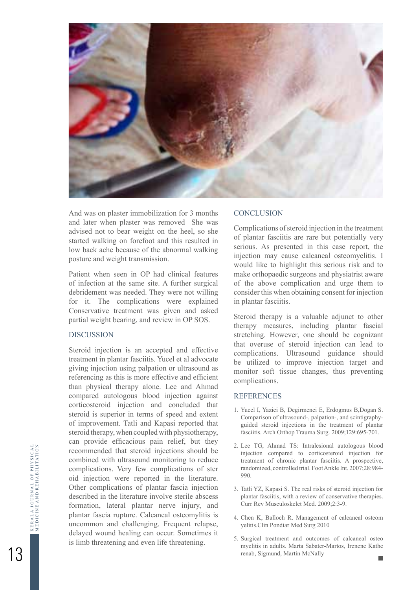

And was on plaster immobilization for 3 months and later when plaster was removed She was advised not to bear weight on the heel, so she started walking on forefoot and this resulted in low back ache because of the abnormal walking posture and weight transmission.

Patient when seen in OP had clinical features of infection at the same site. A further surgical debridement was needed. They were not willing for it. The complications were explained Conservative treatment was given and asked partial weight bearing, and review in OP SOS.

### **DISCUSSION**

Steroid injection is an accepted and effective treatment in plantar fasciitis. Yucel et al advocate giving injection using palpation or ultrasound as referencing as this is more effective and efficient than physical therapy alone. Lee and Ahmad compared autologous blood injection against corticosteroid injection and concluded that steroid is superior in terms of speed and extent of improvement. Tatli and Kapasi reported that steroid therapy, when coupled with physiotherapy, can provide efficacious pain relief, but they recommended that steroid injections should be combined with ultrasound monitoring to reduce complications. Very few complications of ster oid injection were reported in the literature. Other complications of plantar fascia injection described in the literature involve sterile abscess formation, lateral plantar nerve injury, and plantar fascia rupture. Calcaneal osteomylitis is uncommon and challenging. Frequent relapse, delayed wound healing can occur. Sometimes it is limb threatening and even life threatening.

### **CONCLUSION**

Complications of steroid injection in the treatment of plantar fasciitis are rare but potentially very serious. As presented in this case report, the injection may cause calcaneal osteomyelitis. I would like to highlight this serious risk and to make orthopaedic surgeons and physiatrist aware of the above complication and urge them to consider this when obtaining consent for injection in plantar fasciitis.

Steroid therapy is a valuable adjunct to other therapy measures, including plantar fascial stretching. However, one should be cognizant that overuse of steroid injection can lead to complications. Ultrasound guidance should be utilized to improve injection target and monitor soft tissue changes, thus preventing complications.

### **REFERENCES**

- 1. Yucel I, Yazici B, Degirmenci E, Erdogmus B,Dogan S. Comparison of ultrasound-, palpation-, and scintigraphyguided steroid injections in the treatment of plantar fasciitis. Arch Orthop Trauma Surg. 2009;129:695-701.
- 2. Lee TG, Ahmad TS: Intralesional autologous blood injection compared to corticosteroid injection for treatment of chronic plantar fasciitis. A prospective, randomized, controlled trial. Foot Ankle Int. 2007;28:984- 990.
- 3. Tatli YZ, Kapasi S. The real risks of steroid injection for plantar fasciitis, with a review of conservative therapies. Curr Rev Musculoskelet Med. 2009;2:3-9.
- 4. Chen K, Balloch R. Management of calcaneal osteom yelitis.Clin Pondiar Med Surg 2010
- 5. Surgical treatment and outcomes of calcaneal osteo myelitis in adults. Marta Sabater-Martos, Irenene Kathe renab, Sigmund, Martin McNallyn.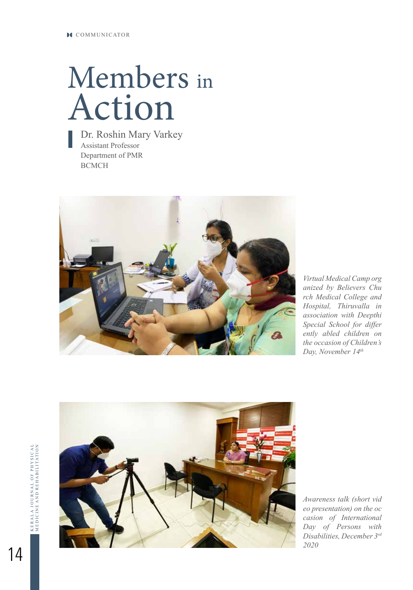# Members in Action

Dr. Roshin Mary Varkey

Assistant Professor Department of PMR

BCMCH



*Virtual Medical Camp org anized by Believers Chu rch Medical College and Hospital, Thiruvalla in association with Deepthi Special School for differ ently abled children on the occasion of Children's Day, November 14th*



*Awareness talk (short vid eo presentation) on the oc casion of International Day of Persons with Disabilities, December 3rd 2020*

KERALA JOURNAL OF PHYSICAL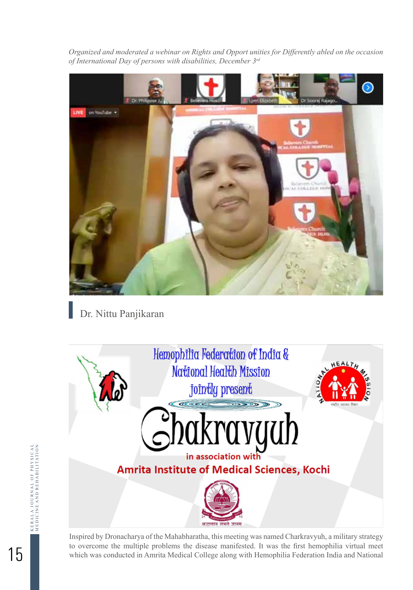*Organized and moderated a webinar on Rights and Opport unities for Differently abled on the occasion of International Day of persons with disabilities, December 3rd*



Dr. Nittu Panjikaran



Inspired by Dronacharya of the Mahabharatha, this meeting was named Charkravyuh, a military strategy to overcome the multiple problems the disease manifested. It was the first hemophilia virtual meet which was conducted in Amrita Medical College along with Hemophilia Federation India and National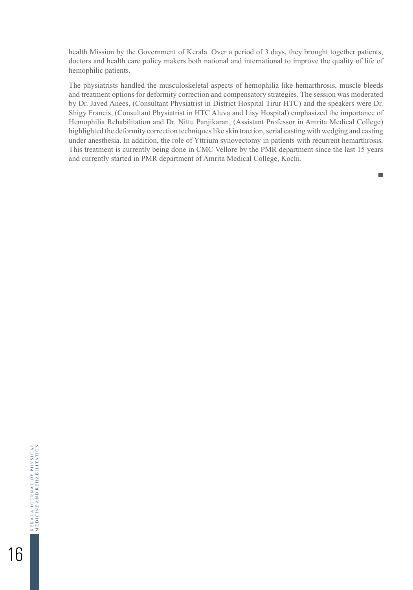health Mission by the Government of Kerala. Over a period of 3 days, they brought together patients, doctors and health care policy makers both national and international to improve the quality of life of hemophilic patients.

The physiatrists handled the musculoskeletal aspects of hemophilia like hemarthrosis, muscle bleeds and treatment options for deformity correction and compensatory strategies. The session was moderated by Dr. Javed Anees, (Consultant Physiatrist in District Hospital Tirur HTC) and the speakers were Dr. Shigy Francis, (Consultant Physiatrist in HTC Aluva and Lisy Hospital) emphasized the importance of Hemophilia Rehabilitation and Dr. Nittu Panjikaran, (Assistant Professor in Amrita Medical College) highlighted the deformity correction techniques like skin traction, serial casting with wedging and casting under anesthesia. In addition, the role of Yttrium synovectomy in patients with recurrent hemarthrosis. This treatment is currently being done in CMC Vellore by the PMR department since the last 15 years and currently started in PMR department of Amrita Medical College, Kochi.

 $\overline{\phantom{a}}$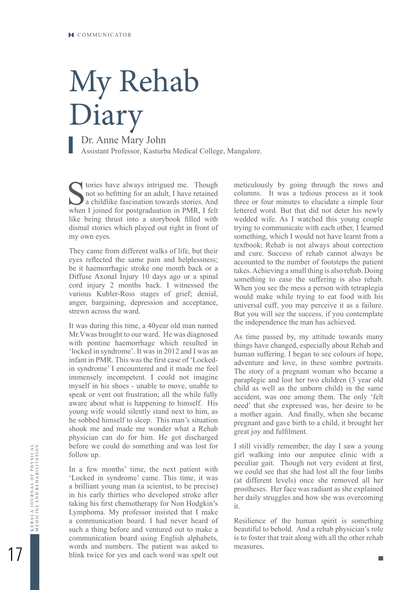# My Rehab Diary

Dr. Anne Mary John Assistant Professor, Kasturba Medical College, Mangalore.

I tories have always intrigued me. Though not so befitting for an adult, I have retained a childlike fascination towards stories. And when I joined for postgraduation in PMR, I felt like being thrust into a storybook filled with dismal stories which played out right in front of my own eyes.

They came from different walks of life, but their eyes reflected the same pain and helplessness; be it haemorrhagic stroke one month back or a Diffuse Axonal Injury 10 days ago or a spinal cord injury 2 months back. I witnessed the various Kubler-Ross stages of grief; denial, anger, bargaining, depression and acceptance, strewn across the ward.

It was during this time, a 40year old man named Mr.Vwas brought to our ward. He was diagnosed with pontine haemorrhage which resulted in 'locked in syndrome'. It was in 2012 and I was an infant in PMR. This was the first case of 'Lockedin syndrome' I encountered and it made me feel immensely incompetent. I could not imagine myself in his shoes - unable to move, unable to speak or vent out frustration; all the while fully aware about what is happening to himself. His young wife would silently stand next to him, as he sobbed himself to sleep. This man's situation shook me and made me wonder what a Rehab physician can do for him. He got discharged before we could do something and was lost for follow up.

In a few months' time, the next patient with 'Locked in syndrome' came. This time, it was a brilliant young man (a scientist, to be precise) in his early thirties who developed stroke after taking his first chemotherapy for Non Hodgkin's Lymphoma. My professor insisted that I make a communication board. I had never heard of such a thing before and ventured out to make a communication board using English alphabets, words and numbers. The patient was asked to blink twice for yes and each word was spelt out meticulously by going through the rows and columns. It was a tedious process as it took three or four minutes to elucidate a simple four lettered word. But that did not deter his newly wedded wife. As I watched this young couple trying to communicate with each other, I learned something, which I would not have learnt from a textbook; Rehab is not always about correction and cure. Success of rehab cannot always be accounted to the number of footsteps the patient takes. Achieving a small thing is also rehab. Doing something to ease the suffering is also rehab. When you see the mess a person with tetraplegia would make while trying to eat food with his universal cuff, you may perceive it as a failure. But you will see the success, if you contemplate the independence the man has achieved.

As time passed by, my attitude towards many things have changed, especially about Rehab and human suffering. I began to see colours of hope, adventure and love, in these sombre portraits. The story of a pregnant woman who became a paraplegic and lost her two children (3 year old child as well as the unborn child) in the same accident, was one among them. The only 'felt need' that she expressed was, her desire to be a mother again. And finally, when she became pregnant and gave birth to a child, it brought her great joy and fulfilment.

I still vividly remember, the day I saw a young girl walking into our amputee clinic with a peculiar gait. Though not very evident at first, we could see that she had lost all the four limbs (at different levels) once she removed all her prostheses. Her face was radiant as she explained her daily struggles and how she was overcoming it.

Resilience of the human spirit is something beautiful to behold. And a rehab physician's role is to foster that trait along with all the other rehab measures.

 $\blacksquare$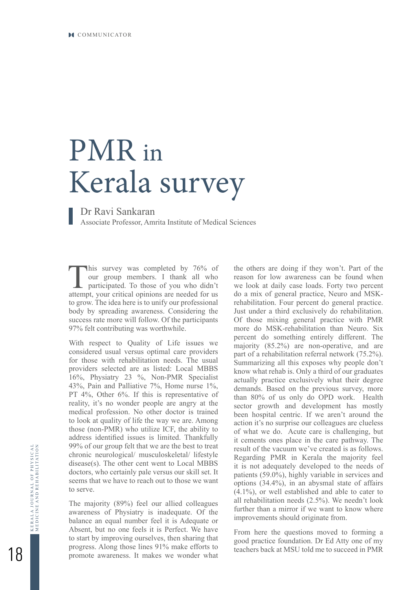# PMR in Kerala survey

Dr Ravi Sankaran

Associate Professor, Amrita Institute of Medical Sciences

This survey was completed by 76% of<br>our group members. I thank all who<br>participated. To those of you who didn't<br>attemnt your critical opinions are needed for us our group members. I thank all who participated. To those of you who didn't attempt, your critical opinions are needed for us to grow. The idea here is to unify our professional body by spreading awareness. Considering the success rate more will follow. Of the participants 97% felt contributing was worthwhile.

With respect to Quality of Life issues we considered usual versus optimal care providers for those with rehabilitation needs. The usual providers selected are as listed: Local MBBS 16%, Physiatry 23 %, Non-PMR Specialist 43%, Pain and Palliative 7%, Home nurse 1%, PT 4%, Other 6%. If this is representative of reality, it's no wonder people are angry at the medical profession. No other doctor is trained to look at quality of life the way we are. Among those (non-PMR) who utilize ICF, the ability to address identified issues is limited. Thankfully 99% of our group felt that we are the best to treat chronic neurological/ musculoskeletal/ lifestyle disease(s). The other cent went to Local MBBS doctors, who certainly pale versus our skill set. It seems that we have to reach out to those we want to serve.

The majority (89%) feel our allied colleagues awareness of Physiatry is inadequate. Of the balance an equal number feel it is Adequate or Absent, but no one feels it is Perfect. We have to start by improving ourselves, then sharing that progress. Along those lines 91% make efforts to promote awareness. It makes we wonder what the others are doing if they won't. Part of the reason for low awareness can be found when we look at daily case loads. Forty two percent do a mix of general practice, Neuro and MSKrehabilitation. Four percent do general practice. Just under a third exclusively do rehabilitation. Of those mixing general practice with PMR more do MSK-rehabilitation than Neuro. Six percent do something entirely different. The majority (85.2%) are non-operative, and are part of a rehabilitation referral network (75.2%). Summarizing all this exposes why people don't know what rehab is. Only a third of our graduates actually practice exclusively what their degree demands. Based on the previous survey, more than 80% of us only do OPD work. Health sector growth and development has mostly been hospital centric. If we aren't around the action it's no surprise our colleagues are clueless of what we do. Acute care is challenging, but it cements ones place in the care pathway. The result of the vacuum we've created is as follows. Regarding PMR in Kerala the majority feel it is not adequately developed to the needs of patients (59.0%), highly variable in services and options (34.4%), in an abysmal state of affairs (4.1%), or well established and able to cater to all rehabilitation needs (2.5%). We needn't look further than a mirror if we want to know where improvements should originate from.

From here the questions moved to forming a good practice foundation. Dr Ed Atty one of my teachers back at MSU told me to succeed in PMR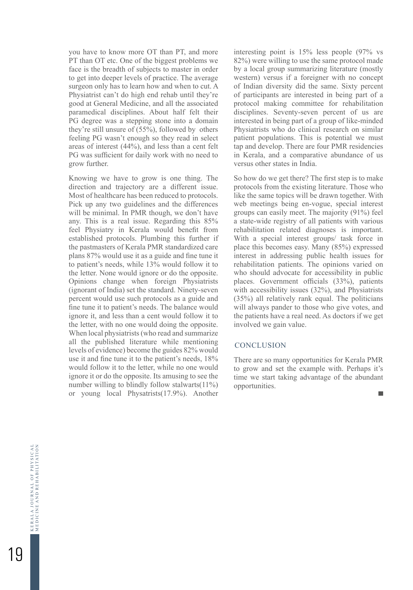you have to know more OT than PT, and more PT than OT etc. One of the biggest problems we face is the breadth of subjects to master in order to get into deeper levels of practice. The average surgeon only has to learn how and when to cut. A Physiatrist can't do high end rehab until they're good at General Medicine, and all the associated paramedical disciplines. About half felt their PG degree was a stepping stone into a domain they're still unsure of  $(55\%)$ , followed by others feeling PG wasn't enough so they read in select areas of interest (44%), and less than a cent felt PG was sufficient for daily work with no need to grow further.

Knowing we have to grow is one thing. The direction and trajectory are a different issue. Most of healthcare has been reduced to protocols. Pick up any two guidelines and the differences will be minimal. In PMR though, we don't have any. This is a real issue. Regarding this 85% feel Physiatry in Kerala would benefit from established protocols. Plumbing this further if the pastmasters of Kerala PMR standardized care plans 87% would use it as a guide and fine tune it to patient's needs, while 13% would follow it to the letter. None would ignore or do the opposite. Opinions change when foreign Physiatrists (ignorant of India) set the standard. Ninety-seven percent would use such protocols as a guide and fine tune it to patient's needs. The balance would ignore it, and less than a cent would follow it to the letter, with no one would doing the opposite. When local physiatrists (who read and summarize all the published literature while mentioning levels of evidence) become the guides 82% would use it and fine tune it to the patient's needs, 18% would follow it to the letter, while no one would ignore it or do the opposite. Its amusing to see the number willing to blindly follow stalwarts(11%) or young local Physatrists(17.9%). Another

interesting point is 15% less people (97% vs 82%) were willing to use the same protocol made by a local group summarizing literature (mostly western) versus if a foreigner with no concept of Indian diversity did the same. Sixty percent of participants are interested in being part of a protocol making committee for rehabilitation disciplines. Seventy-seven percent of us are interested in being part of a group of like-minded Physiatrists who do clinical research on similar patient populations. This is potential we must tap and develop. There are four PMR residencies in Kerala, and a comparative abundance of us versus other states in India.

So how do we get there? The first step is to make protocols from the existing literature. Those who like the same topics will be drawn together. With web meetings being en-vogue, special interest groups can easily meet. The majority (91%) feel a state-wide registry of all patients with various rehabilitation related diagnoses is important. With a special interest groups/ task force in place this becomes easy. Many (85%) expressed interest in addressing public health issues for rehabilitation patients. The opinions varied on who should advocate for accessibility in public places. Government officials (33%), patients with accessibility issues (32%), and Physiatrists (35%) all relatively rank equal. The politicians will always pander to those who give votes, and the patients have a real need. As doctors if we get involved we gain value.

### CONCLUSION

There are so many opportunities for Kerala PMR to grow and set the example with. Perhaps it's time we start taking advantage of the abundant opportunities. $\blacksquare$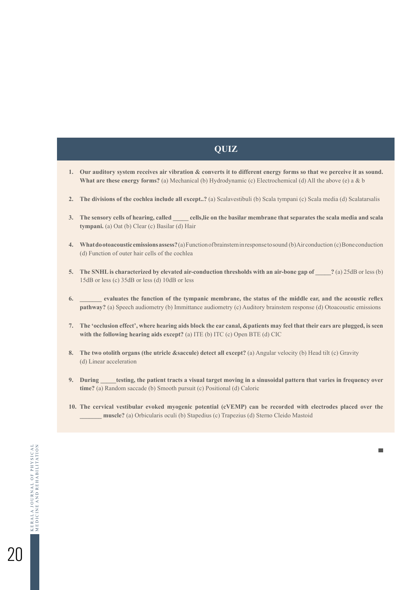### **QUIZ**

- **1. Our auditory system receives air vibration & converts it to different energy forms so that we perceive it as sound. What are these energy forms?** (a) Mechanical (b) Hydrodynamic (c) Electrochemical (d) All the above (e) a & b
- **2. The divisions of the cochlea include all except..?** (a) Scalavestibuli (b) Scala tympani (c) Scala media (d) Scalatarsalis
- **3. The sensory cells of hearing, called \_\_\_\_\_ cells,lie on the basilar membrane that separates the scala media and scala tympani.** (a) Oat (b) Clear (c) Basilar (d) Hair
- **4. What do otoacoustic emissions assess?** (a) Function of brainstem in response to sound (b) Air conduction (c) Bone conduction (d) Function of outer hair cells of the cochlea
- **5. The SNHL is characterized by elevated air-conduction thresholds with an air-bone gap of**  $\qquad$  **? (a) 25dB or less (b)** 15dB or less (c) 35dB or less (d) 10dB or less
- 6. evaluates the function of the tympanic membrane, the status of the middle ear, and the acoustic reflex **pathway?** (a) Speech audiometry (b) Immittance audiometry (c) Auditory brainstem response (d) Otoacoustic emissions
- **7. The 'occlusion effect', where hearing aids block the ear canal, &patients may feel that their ears are plugged, is seen with the following hearing aids except?** (a) ITE (b) ITC (c) Open BTE (d) CIC
- **8. The two otolith organs (the utricle &saccule) detect all except?** (a) Angular velocity (b) Head tilt (c) Gravity (d) Linear acceleration
- **9. During \_\_\_\_\_testing, the patient tracts a visual target moving in a sinusoidal pattern that varies in frequency over time?** (a) Random saccade (b) Smooth pursuit (c) Positional (d) Caloric
- **10. The cervical vestibular evoked myogenic potential (cVEMP) can be recorded with electrodes placed over the \_\_\_\_\_\_\_ muscle?** (a) Orbicularis oculi (b) Stapedius (c) Trapezius (d) Sterno Cleido Mastoid

г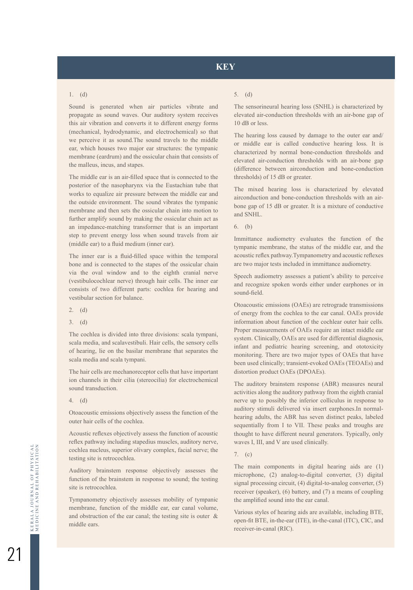### 1. (d)

Sound is generated when air particles vibrate and propagate as sound waves. Our auditory system receives this air vibration and converts it to different energy forms (mechanical, hydrodynamic, and electrochemical) so that we perceive it as sound.The sound travels to the middle ear, which houses two major ear structures: the tympanic membrane (eardrum) and the ossicular chain that consists of the malleus, incus, and stapes.

The middle ear is an air-filled space that is connected to the posterior of the nasopharynx via the Eustachian tube that works to equalize air pressure between the middle ear and the outside environment. The sound vibrates the tympanic membrane and then sets the ossicular chain into motion to further amplify sound by making the ossicular chain act as an impedance-matching transformer that is an important step to prevent energy loss when sound travels from air (middle ear) to a fluid medium (inner ear).

The inner ear is a fluid-filled space within the temporal bone and is connected to the stapes of the ossicular chain via the oval window and to the eighth cranial nerve (vestibulocochlear nerve) through hair cells. The inner ear consists of two different parts: cochlea for hearing and vestibular section for balance.

- 2. (d)
- 3. (d)

The cochlea is divided into three divisions: scala tympani, scala media, and scalavestibuli. Hair cells, the sensory cells of hearing, lie on the basilar membrane that separates the scala media and scala tympani.

The hair cells are mechanoreceptor cells that have important ion channels in their cilia (stereocilia) for electrochemical sound transduction.

4. (d)

Otoacoustic emissions objectively assess the function of the outer hair cells of the cochlea.

Acoustic reflexes objectively assess the function of acoustic reflex pathway including stapedius muscles, auditory nerve, cochlea nucleus, superior olivary complex, facial nerve; the testing site is retrocochlea.

Auditory brainstem response objectively assesses the function of the brainstem in response to sound; the testing site is retrocochlea.

Tympanometry objectively assesses mobility of tympanic membrane, function of the middle ear, ear canal volume, and obstruction of the ear canal; the testing site is outer & middle ears.

#### 5. (d)

The sensorineural hearing loss (SNHL) is characterized by elevated air-conduction thresholds with an air-bone gap of 10 dB or less.

The hearing loss caused by damage to the outer ear and/ or middle ear is called conductive hearing loss. It is characterized by normal bone-conduction thresholds and elevated air-conduction thresholds with an air-bone gap (difference between airconduction and bone-conduction thresholds) of 15 dB or greater.

The mixed hearing loss is characterized by elevated airconduction and bone-conduction thresholds with an airbone gap of 15 dB or greater. It is a mixture of conductive and SNHL.

6. (b)

Immittance audiometry evaluates the function of the tympanic membrane, the status of the middle ear, and the acoustic reflex pathway.Tympanometry and acoustic reflexes are two major tests included in immittance audiometry.

Speech audiometry assesses a patient's ability to perceive and recognize spoken words either under earphones or in sound-field.

Otoacoustic emissions (OAEs) are retrograde transmissions of energy from the cochlea to the ear canal. OAEs provide information about function of the cochlear outer hair cells. Proper measurements of OAEs require an intact middle ear system. Clinically, OAEs are used for differential diagnosis, infant and pediatric hearing screening, and ototoxicity monitoring. There are two major types of OAEs that have been used clinically; transient-evoked OAEs (TEOAEs) and distortion product OAEs (DPOAEs).

The auditory brainstem response (ABR) measures neural activities along the auditory pathway from the eighth cranial nerve up to possibly the inferior colliculus in response to auditory stimuli delivered via insert earphones.In normalhearing adults, the ABR has seven distinct peaks, labeled sequentially from I to VII. These peaks and troughs are thought to have different neural generators. Typically, only waves I, III, and V are used clinically.

#### 7. (c)

The main components in digital hearing aids are (1) microphone, (2) analog-to-digital converter, (3) digital signal processing circuit, (4) digital-to-analog converter, (5) receiver (speaker), (6) battery, and (7) a means of coupling the amplified sound into the ear canal.

Various styles of hearing aids are available, including BTE, open-fit BTE, in-the-ear (ITE), in-the-canal (ITC), CIC, and receiver-in-canal (RIC).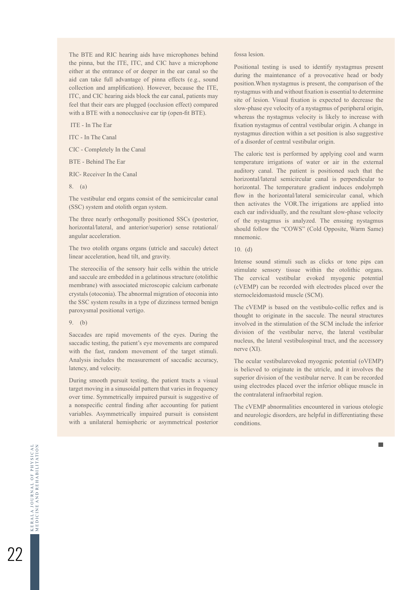The BTE and RIC hearing aids have microphones behind the pinna, but the ITE, ITC, and CIC have a microphone either at the entrance of or deeper in the ear canal so the aid can take full advantage of pinna effects (e.g., sound collection and amplification). However, because the ITE, ITC, and CIC hearing aids block the ear canal, patients may feel that their ears are plugged (occlusion effect) compared with a BTE with a nonocclusive ear tip (open-fit BTE).

ITE - In The Ear

ITC - In The Canal

CIC - Completely In the Canal

BTE - Behind The Ear

RIC- Receiver In the Canal

8. (a)

The vestibular end organs consist of the semicircular canal (SSC) system and otolith organ system.

The three nearly orthogonally positioned SSCs (posterior, horizontal/lateral, and anterior/superior) sense rotational/ angular acceleration.

The two otolith organs organs (utricle and saccule) detect linear acceleration, head tilt, and gravity.

The stereocilia of the sensory hair cells within the utricle and saccule are embedded in a gelatinous structure (otolithic membrane) with associated microscopic calcium carbonate crystals (otoconia). The abnormal migration of otoconia into the SSC system results in a type of dizziness termed benign paroxysmal positional vertigo.

9. (b)

Saccades are rapid movements of the eyes. During the saccadic testing, the patient's eye movements are compared with the fast, random movement of the target stimuli. Analysis includes the measurement of saccadic accuracy, latency, and velocity.

During smooth pursuit testing, the patient tracts a visual target moving in a sinusoidal pattern that varies in frequency over time. Symmetrically impaired pursuit is suggestive of a nonspecific central finding after accounting for patient variables. Asymmetrically impaired pursuit is consistent with a unilateral hemispheric or asymmetrical posterior

#### fossa lesion.

Positional testing is used to identify nystagmus present during the maintenance of a provocative head or body position.When nystagmus is present, the comparison of the nystagmus with and without fixation is essential to determine site of lesion. Visual fixation is expected to decrease the slow-phase eye velocity of a nystagmus of peripheral origin, whereas the nystagmus velocity is likely to increase with fixation nystagmus of central vestibular origin. A change in nystagmus direction within a set position is also suggestive of a disorder of central vestibular origin.

The caloric test is performed by applying cool and warm temperature irrigations of water or air in the external auditory canal. The patient is positioned such that the horizontal/lateral semicircular canal is perpendicular to horizontal. The temperature gradient induces endolymph flow in the horizontal/lateral semicircular canal, which then activates the VOR.The irrigations are applied into each ear individually, and the resultant slow-phase velocity of the nystagmus is analyzed. The ensuing nystagmus should follow the "COWS" (Cold Opposite, Warm Same) mnemonic.

10. (d)

Intense sound stimuli such as clicks or tone pips can stimulate sensory tissue within the otolithic organs. The cervical vestibular evoked myogenic potential (cVEMP) can be recorded with electrodes placed over the sternocleidomastoid muscle (SCM).

The cVEMP is based on the vestibulo-collic reflex and is thought to originate in the saccule. The neural structures involved in the stimulation of the SCM include the inferior division of the vestibular nerve, the lateral vestibular nucleus, the lateral vestibulospinal tract, and the accessory nerve (XI).

The ocular vestibularevoked myogenic potential (oVEMP) is believed to originate in the utricle, and it involves the superior division of the vestibular nerve. It can be recorded using electrodes placed over the inferior oblique muscle in the contralateral infraorbital region.

The cVEMP abnormalities encountered in various otologic and neurologic disorders, are helpful in differentiating these conditions.

Ī.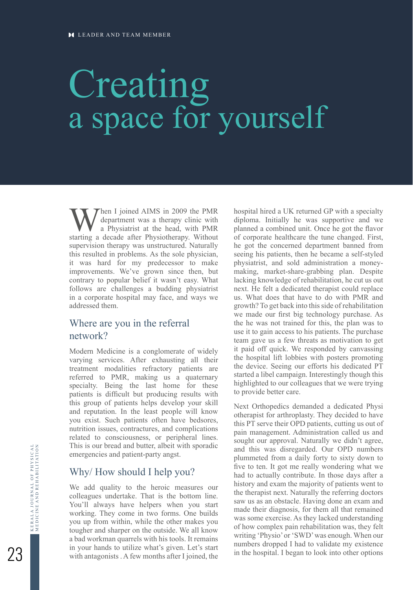# Creating a space for yourself

When I joined AIMS in 2009 the PMR<br>department was a therapy clinic with<br>a Physiatrist at the head, with PMR<br>starting a decade after Physiotherapy Without department was a therapy clinic with a Physiatrist at the head, with PMR starting a decade after Physiotherapy. Without supervision therapy was unstructured. Naturally this resulted in problems. As the sole physician, it was hard for my predecessor to make improvements. We've grown since then, but contrary to popular belief it wasn't easy. What follows are challenges a budding physiatrist in a corporate hospital may face, and ways we addressed them.

### Where are you in the referral network?

Modern Medicine is a conglomerate of widely varying services. After exhausting all their treatment modalities refractory patients are referred to PMR, making us a quaternary specialty. Being the last home for these patients is difficult but producing results with this group of patients helps develop your skill and reputation. In the least people will know you exist. Such patients often have bedsores, nutrition issues, contractures, and complications related to consciousness, or peripheral lines. This is our bread and butter, albeit with sporadic emergencies and patient-party angst.

### Why/ How should I help you?

We add quality to the heroic measures our colleagues undertake. That is the bottom line. You'll always have helpers when you start working. They come in two forms. One builds you up from within, while the other makes you tougher and sharper on the outside. We all know a bad workman quarrels with his tools. It remains in your hands to utilize what's given. Let's start with antagonists . A few months after I joined, the hospital hired a UK returned GP with a specialty diploma. Initially he was supportive and we planned a combined unit. Once he got the flavor of corporate healthcare the tune changed. First, he got the concerned department banned from seeing his patients, then he became a self-styled physiatrist, and sold administration a moneymaking, market-share-grabbing plan. Despite lacking knowledge of rehabilitation, he cut us out next. He felt a dedicated therapist could replace us. What does that have to do with PMR and growth? To get back into this side of rehabilitation we made our first big technology purchase. As the he was not trained for this, the plan was to use it to gain access to his patients. The purchase team gave us a few threats as motivation to get it paid off quick. We responded by canvassing the hospital lift lobbies with posters promoting the device. Seeing our efforts his dedicated PT started a libel campaign. Interestingly though this highlighted to our colleagues that we were trying to provide better care.

Next Orthopedics demanded a dedicated Physi otherapist for arthroplasty. They decided to have this PT serve their OPD patients, cutting us out of pain management. Administration called us and sought our approval. Naturally we didn't agree, and this was disregarded. Our OPD numbers plummeted from a daily forty to sixty down to five to ten. It got me really wondering what we had to actually contribute. In those days after a history and exam the majority of patients went to the therapist next. Naturally the referring doctors saw us as an obstacle. Having done an exam and made their diagnosis, for them all that remained was some exercise. As they lacked understanding of how complex pain rehabilitation was, they felt writing 'Physio' or 'SWD' was enough. When our numbers dropped I had to validate my existence in the hospital. I began to look into other options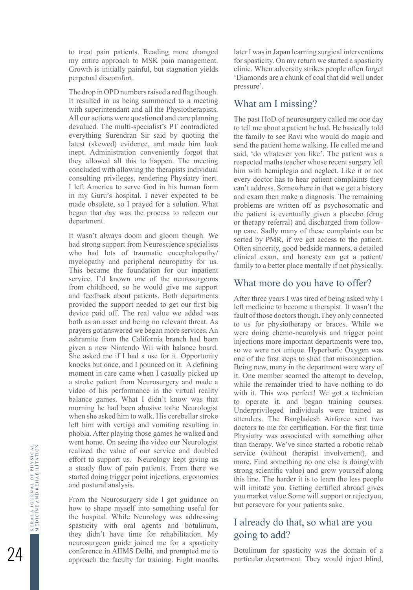to treat pain patients. Reading more changed my entire approach to MSK pain management. Growth is initially painful, but stagnation yields perpetual discomfort.

The drop in OPD numbers raised a red flag though. It resulted in us being summoned to a meeting with superintendant and all the Physiotherapists. All our actions were questioned and care planning devalued. The multi-specialist's PT contradicted everything Surendran Sir said by quoting the latest (skewed) evidence, and made him look inept. Administration conveniently forgot that they allowed all this to happen. The meeting concluded with allowing the therapists individual consulting privileges, rendering Physiatry inert. I left America to serve God in his human form in my Guru's hospital. I never expected to be made obsolete, so I prayed for a solution. What began that day was the process to redeem our department.

It wasn't always doom and gloom though. We had strong support from Neuroscience specialists who had lots of traumatic encephalopathy/ myelopathy and peripheral neuropathy for us. This became the foundation for our inpatient service. I'd known one of the neurosurgeons from childhood, so he would give me support and feedback about patients. Both departments provided the support needed to get our first big device paid off. The real value we added was both as an asset and being no relevant threat. As prayers got answered we began more services. An ashramite from the California branch had been given a new Nintendo Wii with balance board. She asked me if I had a use for it. Opportunity knocks but once, and I pounced on it. A defining moment in care came when I casually picked up a stroke patient from Neurosurgery and made a video of his performance in the virtual reality balance games. What I didn't know was that morning he had been abusive tothe Neurologist when she asked him to walk. His cerebellar stroke left him with vertigo and vomiting resulting in phobia. After playing those games he walked and went home. On seeing the video our Neurologist realized the value of our service and doubled effort to support us. Neurology kept giving us a steady flow of pain patients. From there we started doing trigger point injections, ergonomics and postural analysis.

From the Neurosurgery side I got guidance on how to shape myself into something useful for the hospital. While Neurology was addressing spasticity with oral agents and botulinum, they didn't have time for rehabilitation. My neurosurgeon guide joined me for a spasticity conference in AIIMS Delhi, and prompted me to approach the faculty for training. Eight months later I was in Japan learning surgical interventions for spasticity. On my return we started a spasticity clinic. When adversity strikes people often forget 'Diamonds are a chunk of coal that did well under pressure'.

### What am I missing?

The past HoD of neurosurgery called me one day to tell me about a patient he had. He basically told the family to see Ravi who would do magic and send the patient home walking. He called me and said, 'do whatever you like'. The patient was a respected maths teacher whose recent surgery left him with hemiplegia and neglect. Like it or not every doctor has to hear patient complaints they can't address. Somewhere in that we get a history and exam then make a diagnosis. The remaining problems are written off as psychosomatic and the patient is eventually given a placebo (drug or therapy referral) and discharged from followup care. Sadly many of these complaints can be sorted by PMR, if we get access to the patient. Often sincerity, good bedside manners, a detailed clinical exam, and honesty can get a patient/ family to a better place mentally if not physically.

### What more do you have to offer?

After three years I was tired of being asked why I left medicine to become a therapist. It wasn't the fault of those doctors though.They only connected to us for physiotherapy or braces. While we were doing chemo-neurolysis and trigger point injections more important departments were too, so we were not unique. Hyperbaric Oxygen was one of the first steps to shed that misconception. Being new, many in the department were wary of it. One member scorned the attempt to develop, while the remainder tried to have nothing to do with it. This was perfect! We got a technician to operate it, and began training courses. Underprivileged individuals were trained as attenders. The Bangladesh Airforce sent two doctors to me for certification. For the first time Physiatry was associated with something other than therapy. We've since started a robotic rehab service (without therapist involvement), and more. Find something no one else is doing(with strong scientific value) and grow yourself along this line. The harder it is to learn the less people will imitate you. Getting certified abroad gives you market value.Some will support or rejectyou, but persevere for your patients sake.

### I already do that, so what are you going to add?

Botulinum for spasticity was the domain of a particular department. They would inject blind,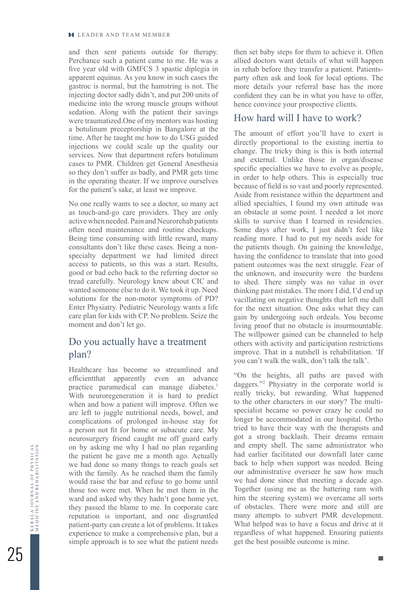and then sent patients outside for therapy. Perchance such a patient came to me. He was a five year old with GMFCS 3 spastic diplegia in apparent equinus. As you know in such cases the gastroc is normal, but the hamstring is not. The injecting doctor sadly didn't, and put 200 units of medicine into the wrong muscle groups without sedation. Along with the patient their savings were traumatized.One of my mentors was hosting a botulinum preceptorship in Bangalore at the time. After he taught me how to do USG guided injections we could scale up the quality our services. Now that department refers botulinum cases to PMR. Children get General Anesthesia so they don't suffer as badly, and PMR gets time in the operating theater. If we improve ourselves for the patient's sake, at least we improve.

No one really wants to see a doctor, so many act as touch-and-go care providers. They are only active when needed. Pain and Neurorehab patients often need maintenance and routine checkups. Being time consuming with little reward, many consultants don't like these cases. Being a nonspecialty department we had limited direct access to patients, so this was a start. Results, good or bad echo back to the referring doctor so tread carefully. Neurology knew about CIC and wanted someone else to do it. We took it up. Need solutions for the non-motor symptoms of PD? Enter Physiatry. Pediatric Neurology wants a life care plan for kids with CP. No problem. Seize the moment and don't let go.

### Do you actually have a treatment plan?

Healthcare has become so streamlined and efficientthat apparently even an advance practice paramedical can manage diabetes.<sup>1</sup> With neuroregeneration it is hard to predict when and how a patient will improve. Often we are left to juggle nutritional needs, bowel, and complications of prolonged in-house stay for a person not fit for home or subacute care. My neurosurgery friend caught me off guard early on by asking me why I had no plan regarding the patient he gave me a month ago. Actually we had done so many things to reach goals set with the family. As he reached them the family would raise the bar and refuse to go home until those too were met. When he met them in the ward and asked why they hadn't gone home yet, they passed the blame to me. In corporate care reputation is important, and one disgruntled patient-party can create a lot of problems. It takes experience to make a comprehensive plan, but a simple approach is to see what the patient needs then set baby steps for them to achieve it. Often allied doctors want details of what will happen in rehab before they transfer a patient. Patientsparty often ask and look for local options. The more details your referral base has the more confident they can be in what you have to offer, hence convince your prospective clients.

### How hard will I have to work?

The amount of effort you'll have to exert is directly proportional to the existing inertia to change. The tricky thing is this is both internal and external. Unlike those in organ/disease specific specialties we have to evolve as people, in order to help others. This is especially true because of field is so vast and poorly represented. Aside from resistance within the department and allied specialties, I found my own attitude was an obstacle at some point. I needed a lot more skills to survive than I learned in residencies. Some days after work, I just didn't feel like reading more. I had to put my needs aside for the patients though. On gaining the knowledge, having the confidence to translate that into good patient outcomes was the next struggle. Fear of the unknown, and insecurity were the burdens to shed. There simply was no value in over thinking past mistakes. The more I did, I'd end up vacillating on negative thoughts that left me dull for the next situation. One asks what they can gain by undergoing such ordeals. You become living proof that no obstacle is insurmountable. The willpower gained can be channeled to help others with activity and participation restrictions improve. That in a nutshell is rehabilitation. 'If you can't walk the walk, don't talk the talk'.

"On the heights, all paths are paved with daggers."2 Physiatry in the corporate world is really tricky, but rewarding. What happened to the other characters in our story? The multispecialist became so power crazy he could no longer be accommodated in our hospital. Ortho tried to have their way with the therapists and got a strong backlash. Their dreams remain and empty shell. The same administrator who had earlier facilitated our downfall later came back to help when support was needed. Being our administrative overseer he saw how much we had done since that meeting a decade ago. Together (using me as the battering ram with him the steering system) we overcame all sorts of obstacles. There were more and still are many attempts to subvert PMR development. What helped was to have a focus and drive at it regardless of what happened. Ensuring patients get the best possible outcome is mine.

25

n.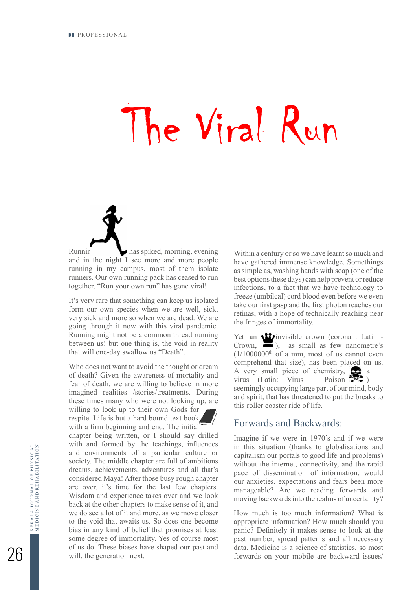# The Viral Run

Running  $\blacksquare$  has spiked, morning, evening and in the night I see more and more people running in my campus, most of them isolate runners. Our own running pack has ceased to run together, "Run your own run" has gone viral!

It's very rare that something can keep us isolated form our own species when we are well, sick, very sick and more so when we are dead. We are going through it now with this viral pandemic. Running might not be a common thread running between us! but one thing is, the void in reality that will one-day swallow us "Death".

Who does not want to avoid the thought or dream of death? Given the awareness of mortality and fear of death, we are willing to believe in more imagined realities /stories/treatments. During these times many who were not looking up, are willing to look up to their own Gods for respite. Life is but a hard bound text book with a firm beginning and end. The initial chapter being written, or I should say drilled with and formed by the teachings, influences and environments of a particular culture or society. The middle chapter are full of ambitions dreams, achievements, adventures and all that's considered Maya! After those busy rough chapter are over, it's time for the last few chapters. Wisdom and experience takes over and we look back at the other chapters to make sense of it, and we do see a lot of it and more, as we move closer to the void that awaits us. So does one become bias in any kind of belief that promises at least some degree of immortality. Yes of course most of us do. These biases have shaped our past and will, the generation next.

Within a century or so we have learnt so much and have gathered immense knowledge. Somethings as simple as, washing hands with soap (one of the best options these days) can help prevent or reduce infections, to a fact that we have technology to freeze (umbilcal) cord blood even before we even take our first gasp and the first photon reaches our retinas, with a hope of technically reaching near the fringes of immortality.

Yet an **invisible** crown (corona : Latin -Crown,  $\blacksquare$ ), as small as few nanometre's  $(1/1000000$ <sup>th</sup> of a mm, most of us cannot even comprehend that size), has been placed on us. A very small piece of chemistry,  $\Box$  a virus (Latin: Virus – Poison  $\gg$ ) seemingly occupying large part of our mind, body and spirit, that has threatened to put the breaks to this roller coaster ride of life.

### Forwards and Backwards:

Imagine if we were in 1970's and if we were in this situation (thanks to globalisations and capitalism our portals to good life and problems) without the internet, connectivity, and the rapid pace of dissemination of information, would our anxieties, expectations and fears been more manageable? Are we reading forwards and moving backwards into the realms of uncertainty?

How much is too much information? What is appropriate information? How much should you panic? Definitely it makes sense to look at the past number, spread patterns and all necessary data. Medicine is a science of statistics, so most forwards on your mobile are backward issues/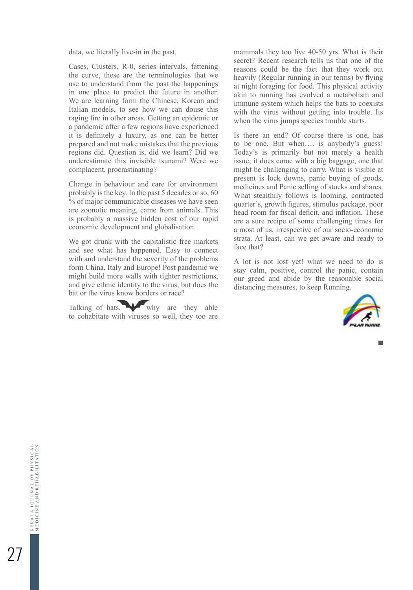data, we literally live-in in the past.

Cases, Clusters, R-0, series intervals, fattening the curve, these are the terminologies that we use to understand from the past the happenings in one place to predict the future in another. We are learning form the Chinese, Korean and Italian models, to see how we can douse this raging fire in other areas. Getting an epidemic or a pandemic after a few regions have experienced it is definitely a luxury, as one can be better prepared and not make mistakes that the previous regions did. Question is, did we learn? Did we underestimate this invisible tsunami? Were we complacent, procrastinating?

Change in behaviour and care for environment probably is the key. In the past 5 decades or so, 60 % of major communicable diseases we have seen are zoonotic meaning, came from animals. This is probably a massive hidden cost of our rapid economic development and globalisation.

We got drunk with the capitalistic free markets and see what has happened. Easy to connect with and understand the severity of the problems form China, Italy and Europe! Post pandemic we might build more walls with tighter restrictions, and give ethnic identity to the virus, but does the bat or the virus know borders or race?

Talking of bats, why are they able to cohabitate with viruses so well, they too are mammals they too live 40-50 yrs. What is their secret? Recent research tells us that one of the reasons could be the fact that they work out heavily (Regular running in our terms) by flying at night foraging for food. This physical activity akin to running has evolved a metabolism and immune system which helps the bats to coexists with the virus without getting into trouble. Its when the virus jumps species trouble starts.

Is there an end? Of course there is one, has to be one. But when…. is anybody's guess! Today's is primarily but not merely a health issue, it does come with a big baggage, one that might be challenging to carry. What is visible at present is lock downs, panic buying of goods, medicines and Panic selling of stocks and shares. What stealthily follows is looming, contracted quarter's, growth figures, stimulus package, poor head room for fiscal deficit, and inflation. These are a sure recipe of some challenging times for a most of us, irrespective of our socio-economic strata. At least, can we get aware and ready to face that?

A lot is not lost yet! what we need to do is stay calm, positive, control the panic, contain our greed and abide by the reasonable social distancing measures, to keep Running.

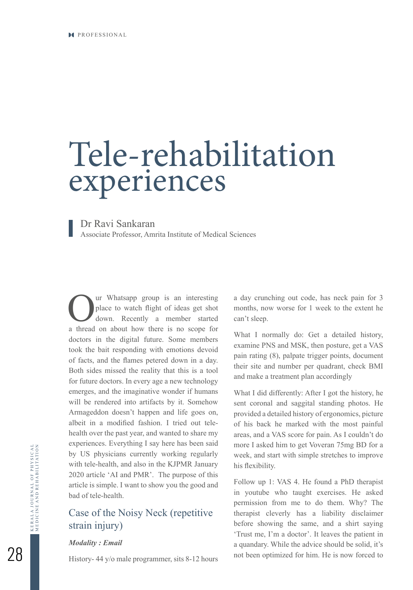## Tele-rehabilitation experiences

Dr Ravi Sankaran Associate Professor, Amrita Institute of Medical Sciences

The U.S. of the Matsapp group is an interesting<br>place to watch flight of ideas get shot<br>down. Recently a member started<br>a thread on about how there is no scope for place to watch flight of ideas get shot down. Recently a member started a thread on about how there is no scope for doctors in the digital future. Some members took the bait responding with emotions devoid of facts, and the flames petered down in a day. Both sides missed the reality that this is a tool for future doctors. In every age a new technology emerges, and the imaginative wonder if humans will be rendered into artifacts by it. Somehow Armageddon doesn't happen and life goes on, albeit in a modified fashion. I tried out telehealth over the past year, and wanted to share my experiences. Everything I say here has been said by US physicians currently working regularly with tele-health, and also in the KJPMR January 2020 article 'AI and PMR'. The purpose of this article is simple. I want to show you the good and bad of tele-health.

### Case of the Noisy Neck (repetitive strain injury)

### *Modality : Email*

History- 44 y/o male programmer, sits 8-12 hours

a day crunching out code, has neck pain for 3 months, now worse for 1 week to the extent he can't sleep.

What I normally do: Get a detailed history, examine PNS and MSK, then posture, get a VAS pain rating (8), palpate trigger points, document their site and number per quadrant, check BMI and make a treatment plan accordingly

What I did differently: After I got the history, he sent coronal and saggital standing photos. He provided a detailed history of ergonomics, picture of his back he marked with the most painful areas, and a VAS score for pain. As I couldn't do more I asked him to get Voveran 75mg BD for a week, and start with simple stretches to improve his flexibility.

Follow up 1: VAS 4. He found a PhD therapist in youtube who taught exercises. He asked permission from me to do them. Why? The therapist cleverly has a liability disclaimer before showing the same, and a shirt saying 'Trust me, I'm a doctor'. It leaves the patient in a quandary. While the advice should be solid, it's not been optimized for him. He is now forced to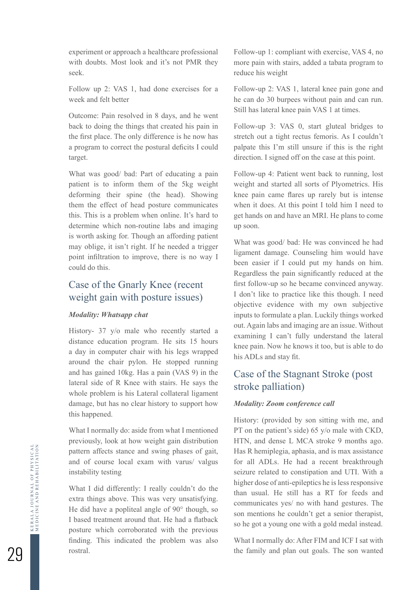experiment or approach a healthcare professional with doubts. Most look and it's not PMR they seek.

Follow up 2: VAS 1, had done exercises for a week and felt better

Outcome: Pain resolved in 8 days, and he went back to doing the things that created his pain in the first place. The only difference is he now has a program to correct the postural deficits I could target.

What was good/ bad: Part of educating a pain patient is to inform them of the 5kg weight deforming their spine (the head). Showing them the effect of head posture communicates this. This is a problem when online. It's hard to determine which non-routine labs and imaging is worth asking for. Though an affording patient may oblige, it isn't right. If he needed a trigger point infiltration to improve, there is no way I could do this.

### Case of the Gnarly Knee (recent weight gain with posture issues)

### *Modality: Whatsapp chat*

History- 37 y/o male who recently started a distance education program. He sits 15 hours a day in computer chair with his legs wrapped around the chair pylon. He stopped running and has gained 10kg. Has a pain (VAS 9) in the lateral side of R Knee with stairs. He says the whole problem is his Lateral collateral ligament damage, but has no clear history to support how this happened.

What I normally do: aside from what I mentioned previously, look at how weight gain distribution pattern affects stance and swing phases of gait, and of course local exam with varus/ valgus instability testing

What I did differently: I really couldn't do the extra things above. This was very unsatisfying. He did have a popliteal angle of 90° though, so I based treatment around that. He had a flatback posture which corroborated with the previous finding. This indicated the problem was also rostral.

Follow-up 1: compliant with exercise, VAS 4, no more pain with stairs, added a tabata program to reduce his weight

Follow-up 2: VAS 1, lateral knee pain gone and he can do 30 burpees without pain and can run. Still has lateral knee pain VAS 1 at times.

Follow-up 3: VAS 0, start gluteal bridges to stretch out a tight rectus femoris. As I couldn't palpate this I'm still unsure if this is the right direction. I signed off on the case at this point.

Follow-up 4: Patient went back to running, lost weight and started all sorts of Plyometrics. His knee pain came flares up rarely but is intense when it does. At this point I told him I need to get hands on and have an MRI. He plans to come up soon.

What was good/ bad: He was convinced he had ligament damage. Counseling him would have been easier if I could put my hands on him. Regardless the pain significantly reduced at the first follow-up so he became convinced anyway. I don't like to practice like this though. I need objective evidence with my own subjective inputs to formulate a plan. Luckily things worked out. Again labs and imaging are an issue. Without examining I can't fully understand the lateral knee pain. Now he knows it too, but is able to do his ADLs and stay fit.

### Case of the Stagnant Stroke (post stroke palliation)

### *Modality: Zoom conference call*

History: (provided by son sitting with me, and PT on the patient's side) 65 y/o male with CKD, HTN, and dense L MCA stroke 9 months ago. Has R hemiplegia, aphasia, and is max assistance for all ADLs. He had a recent breakthrough seizure related to constipation and UTI. With a higher dose of anti-epileptics he is less responsive than usual. He still has a RT for feeds and communicates yes/ no with hand gestures. The son mentions he couldn't get a senior therapist, so he got a young one with a gold medal instead.

What I normally do: After FIM and ICF I sat with the family and plan out goals. The son wanted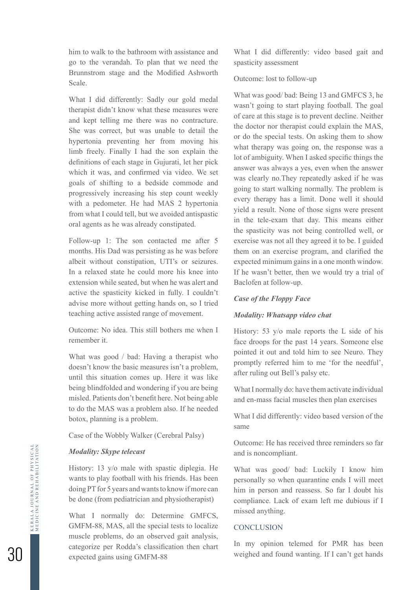him to walk to the bathroom with assistance and go to the verandah. To plan that we need the Brunnstrom stage and the Modified Ashworth Scale.

What I did differently: Sadly our gold medal therapist didn't know what these measures were and kept telling me there was no contracture. She was correct, but was unable to detail the hypertonia preventing her from moving his limb freely. Finally I had the son explain the definitions of each stage in Gujurati, let her pick which it was, and confirmed via video. We set goals of shifting to a bedside commode and progressively increasing his step count weekly with a pedometer. He had MAS 2 hypertonia from what I could tell, but we avoided antispastic oral agents as he was already constipated.

Follow-up 1: The son contacted me after 5 months. His Dad was persisting as he was before albeit without constipation, UTI's or seizures. In a relaxed state he could more his knee into extension while seated, but when he was alert and active the spasticity kicked in fully. I couldn't advise more without getting hands on, so I tried teaching active assisted range of movement.

Outcome: No idea. This still bothers me when I remember it.

What was good / bad: Having a therapist who doesn't know the basic measures isn't a problem, until this situation comes up. Here it was like being blindfolded and wondering if you are being misled. Patients don't benefit here. Not being able to do the MAS was a problem also. If he needed botox, planning is a problem.

Case of the Wobbly Walker (Cerebral Palsy)

### *Modality: Skype telecast*

History: 13 y/o male with spastic diplegia. He wants to play football with his friends. Has been doing PT for 5 years and wants to know if more can be done (from pediatrician and physiotherapist)

What I normally do: Determine GMFCS, GMFM-88, MAS, all the special tests to localize muscle problems, do an observed gait analysis, categorize per Rodda's classification then chart expected gains using GMFM-88

What I did differently: video based gait and spasticity assessment

Outcome: lost to follow-up

What was good/ bad: Being 13 and GMFCS 3, he wasn't going to start playing football. The goal of care at this stage is to prevent decline. Neither the doctor nor therapist could explain the MAS, or do the special tests. On asking them to show what therapy was going on, the response was a lot of ambiguity. When I asked specific things the answer was always a yes, even when the answer was clearly no.They repeatedly asked if he was going to start walking normally. The problem is every therapy has a limit. Done well it should yield a result. None of those signs were present in the tele-exam that day. This means either the spasticity was not being controlled well, or exercise was not all they agreed it to be. I guided them on an exercise program, and clarified the expected minimum gains in a one month window. If he wasn't better, then we would try a trial of Baclofen at follow-up.

### *Case of the Floppy Face*

### *Modality: Whatsapp video chat*

History: 53 y/o male reports the L side of his face droops for the past 14 years. Someone else pointed it out and told him to see Neuro. They promptly referred him to me 'for the needful', after ruling out Bell's palsy etc.

What I normally do: have them activate individual and en-mass facial muscles then plan exercises

What I did differently: video based version of the same

Outcome: He has received three reminders so far and is noncompliant.

What was good/ bad: Luckily I know him personally so when quarantine ends I will meet him in person and reassess. So far I doubt his compliance. Lack of exam left me dubious if I missed anything.

### **CONCLUSION**

In my opinion telemed for PMR has been weighed and found wanting. If I can't get hands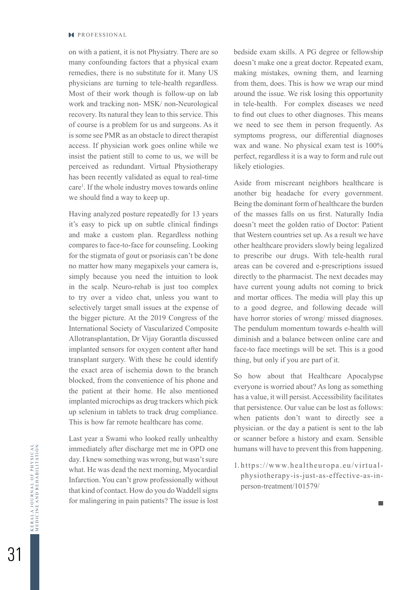#### **M** PROFESSIONAL

on with a patient, it is not Physiatry. There are so many confounding factors that a physical exam remedies, there is no substitute for it. Many US physicians are turning to tele-health regardless. Most of their work though is follow-up on lab work and tracking non- MSK/ non-Neurological recovery. Its natural they lean to this service. This of course is a problem for us and surgeons. As it is some see PMR as an obstacle to direct therapist access. If physician work goes online while we insist the patient still to come to us, we will be perceived as redundant. Virtual Physiotherapy has been recently validated as equal to real-time care<sup>1</sup>. If the whole industry moves towards online we should find a way to keep up.

Having analyzed posture repeatedly for 13 years it's easy to pick up on subtle clinical findings and make a custom plan. Regardless nothing compares to face-to-face for counseling. Looking for the stigmata of gout or psoriasis can't be done no matter how many megapixels your camera is, simply because you need the intuition to look in the scalp. Neuro-rehab is just too complex to try over a video chat, unless you want to selectively target small issues at the expense of the bigger picture. At the 2019 Congress of the International Society of VascuIarized Composite Allotransplantation, Dr Vijay Gorantla discussed implanted sensors for oxygen content after hand transplant surgery. With these he could identify the exact area of ischemia down to the branch blocked, from the convenience of his phone and the patient at their home. He also mentioned implanted microchips as drug trackers which pick up selenium in tablets to track drug compliance. This is how far remote healthcare has come.

Last year a Swami who looked really unhealthy immediately after discharge met me in OPD one day. I knew something was wrong, but wasn't sure what. He was dead the next morning, Myocardial Infarction. You can't grow professionally without that kind of contact. How do you do Waddell signs for malingering in pain patients? The issue is lost bedside exam skills. A PG degree or fellowship doesn't make one a great doctor. Repeated exam, making mistakes, owning them, and learning from them, does. This is how we wrap our mind around the issue. We risk losing this opportunity in tele-health. For complex diseases we need to find out clues to other diagnoses. This means we need to see them in person frequently. As symptoms progress, our differential diagnoses wax and wane. No physical exam test is 100% perfect, regardless it is a way to form and rule out likely etiologies.

Aside from miscreant neighbors healthcare is another big headache for every government. Being the dominant form of healthcare the burden of the masses falls on us first. Naturally India doesn't meet the golden ratio of Doctor: Patient that Western countries set up. As a result we have other healthcare providers slowly being legalized to prescribe our drugs. With tele-health rural areas can be covered and e-prescriptions issued directly to the pharmacist. The next decades may have current young adults not coming to brick and mortar offices. The media will play this up to a good degree, and following decade will have horror stories of wrong/ missed diagnoses. The pendulum momentum towards e-health will diminish and a balance between online care and face-to face meetings will be set. This is a good thing, but only if you are part of it.

So how about that Healthcare Apocalypse everyone is worried about? As long as something has a value, it will persist. Accessibility facilitates that persistence. Our value can be lost as follows: when patients don't want to directly see a physician. or the day a patient is sent to the lab or scanner before a history and exam. Sensible humans will have to prevent this from happening.

1. https://www.healtheuropa.eu/virtualphysiotherapy-is-just-as-effective-as-inperson-treatment/101579/

 $\mathbb{R}^2$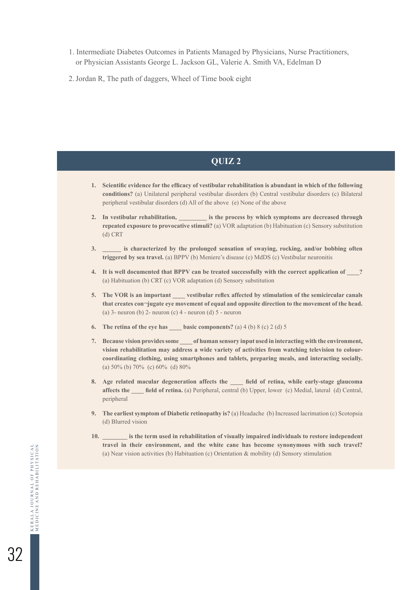- 1. Intermediate Diabetes Outcomes in Patients Managed by Physicians, Nurse Practitioners, or Physician Assistants George L. Jackson GL, Valerie A. Smith VA, Edelman D
- 2.Jordan R, The path of daggers, Wheel of Time book eight

### **QUIZ 2**

- **1. Scientific evidence for the efficacy of vestibular rehabilitation is abundant in which of the following conditions?** (a) Unilateral peripheral vestibular disorders (b) Central vestibular disorders (c) Bilateral peripheral vestibular disorders (d) All of the above (e) None of the above
- **2. In vestibular rehabilitation, \_\_\_\_\_\_\_\_\_ is the process by which symptoms are decreased through repeated exposure to provocative stimuli?** (a) VOR adaptation (b) Habituation (c) Sensory substitution (d) CRT
- **3. \_\_\_\_\_\_ is characterized by the prolonged sensation of swaying, rocking, and/or bobbing often triggered by sea travel.** (a) BPPV (b) Meniere's disease (c) MdDS (c) Vestibular neuronitis
- **4. It is well documented that BPPV can be treated successfully with the correct application of \_\_\_\_?**  (a) Habituation (b) CRT (c) VOR adaptation (d) Sensory substitution
- **5. The VOR is an important \_\_\_\_ vestibular reflex affected by stimulation of the semicircular canals that creates con¬jugate eye movement of equal and opposite direction to the movement of the head.**  (a)  $3$ - neuron (b)  $2$ - neuron (c)  $4$  - neuron (d)  $5$  - neuron
- **6. The retina of the eye has \_\_\_\_\_ basic components?** (a) 4 (b) 8 (c) 2 (d) 5
- **7. Because vision provides some \_\_\_\_ of human sensory input used in interacting with the environment, vision rehabilitation may address a wide variety of activities from watching television to colourcoordinating clothing, using smartphones and tablets, preparing meals, and interacting socially.**  (a) 50% (b) 70% (c) 60% (d) 80%
- **8. Age related macular degeneration affects the \_\_\_\_ field of retina, while early-stage glaucoma affects the \_\_\_\_ field of retina.** (a) Peripheral, central (b) Upper, lower (c) Medial, lateral (d) Central, peripheral
- **9. The earliest symptom of Diabetic retinopathy is?** (a) Headache (b) Increased lacrimation (c) Scotopsia (d) Blurred vision
- **10. \_\_\_\_\_\_\_\_ is the term used in rehabilitation of visually impaired individuals to restore independent travel in their environment, and the white cane has become synonymous with such travel?**  (a) Near vision activities (b) Habituation (c) Orientation  $\&$  mobility (d) Sensory stimulation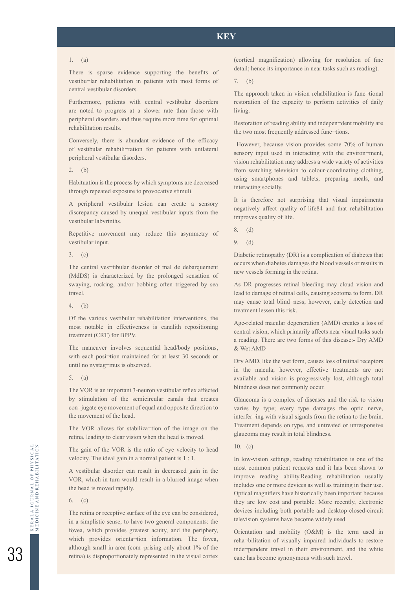### **KEY**

### 1. (a)

There is sparse evidence supporting the benefits of vestibu¬lar rehabilitation in patients with most forms of central vestibular disorders.

Furthermore, patients with central vestibular disorders are noted to progress at a slower rate than those with peripheral disorders and thus require more time for optimal rehabilitation results.

Conversely, there is abundant evidence of the efficacy of vestibular rehabili¬tation for patients with unilateral peripheral vestibular disorders.

2. (b)

Habituation is the process by which symptoms are decreased through repeated exposure to provocative stimuli.

A peripheral vestibular lesion can create a sensory discrepancy caused by unequal vestibular inputs from the vestibular labyrinths.

Repetitive movement may reduce this asymmetry of vestibular input.

3. (c)

The central ves¬tibular disorder of mal de debarquement (MdDS) is characterized by the prolonged sensation of swaying, rocking, and/or bobbing often triggered by sea travel.

4. (b)

Of the various vestibular rehabilitation interventions, the most notable in effectiveness is canalith repositioning treatment (CRT) for BPPV.

The maneuver involves sequential head/body positions, with each posi-tion maintained for at least 30 seconds or until no nystag¬mus is observed.

5. (a)

The VOR is an important 3-neuron vestibular reflex affected by stimulation of the semicircular canals that creates con¬jugate eye movement of equal and opposite direction to the movement of the head.

The VOR allows for stabiliza-tion of the image on the retina, leading to clear vision when the head is moved.

The gain of the VOR is the ratio of eye velocity to head velocity. The ideal gain in a normal patient is 1 : 1.

A vestibular disorder can result in decreased gain in the VOR, which in turn would result in a blurred image when the head is moved rapidly.

6. (c)

The retina or receptive surface of the eye can be considered, in a simplistic sense, to have two general components: the fovea, which provides greatest acuity, and the periphery, which provides orienta-tion information. The fovea, although small in area (com¬prising only about 1% of the retina) is disproportionately represented in the visual cortex

(cortical magnification) allowing for resolution of fine detail; hence its importance in near tasks such as reading).

The approach taken in vision rehabilitation is func-tional restoration of the capacity to perform activities of daily living.

Restoration of reading ability and indepen¬dent mobility are the two most frequently addressed func-tions.

 However, because vision provides some 70% of human sensory input used in interacting with the environ-ment, vision rehabilitation may address a wide variety of activities from watching television to colour-coordinating clothing, using smartphones and tablets, preparing meals, and interacting socially.

It is therefore not surprising that visual impairments negatively affect quality of life84 and that rehabilitation improves quality of life.

8. (d)

9. (d)

Diabetic retinopathy (DR) is a complication of diabetes that occurs when diabetes damages the blood vessels or results in new vessels forming in the retina.

As DR progresses retinal bleeding may cloud vision and lead to damage of retinal cells, causing scotoma to form. DR may cause total blind¬ness; however, early detection and treatment lessen this risk.

Age-related macular degeneration (AMD) creates a loss of central vision, which primarily affects near visual tasks such a reading. There are two forms of this disease:- Dry AMD & Wet AMD

Dry AMD, like the wet form, causes loss of retinal receptors in the macula; however, effective treatments are not available and vision is progressively lost, although total blindness does not commonly occur.

Glaucoma is a complex of diseases and the risk to vision varies by type; every type damages the optic nerve, interfer¬ing with visual signals from the retina to the brain. Treatment depends on type, and untreated or unresponsive glaucoma may result in total blindness.

#### $10.$  (c)

In low-vision settings, reading rehabilitation is one of the most common patient requests and it has been shown to improve reading ability.Reading rehabilitation usually includes one or more devices as well as training in their use. Optical magnifiers have historically been important because they are low cost and portable. More recently, electronic devices including both portable and desktop closed-circuit television systems have become widely used.

Orientation and mobility (O&M) is the term used in reha¬bilitation of visually impaired individuals to restore inde¬pendent travel in their environment, and the white cane has become synonymous with such travel.

<sup>7.</sup> (b)